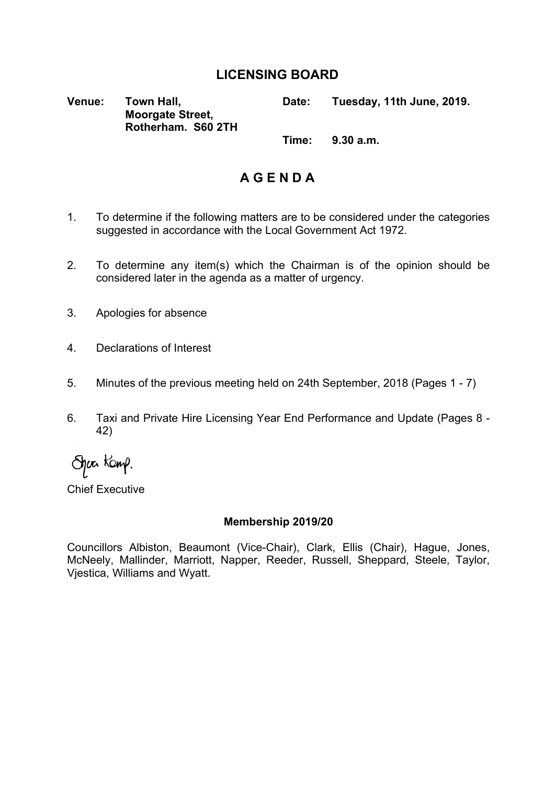### **LICENSING BOARD**

**Venue: Town Hall, Moorgate Street, Rotherham. S60 2TH Date: Tuesday, 11th June, 2019. Time: 9.30 a.m.**

**A G E N D A**

- 1. To determine if the following matters are to be considered under the categories suggested in accordance with the Local Government Act 1972.
- 2. To determine any item(s) which the Chairman is of the opinion should be considered later in the agenda as a matter of urgency.
- 3. Apologies for absence
- 4. Declarations of Interest
- 5. Minutes of the previous meeting held on 24th September, 2018 (Pages 1 7)
- 6. Taxi and Private Hire Licensing Year End Performance and Update (Pages 8 42)

Spac Kamp.

Chief Executive

### **Membership 2019/20**

Councillors Albiston, Beaumont (Vice-Chair), Clark, Ellis (Chair), Hague, Jones, McNeely, Mallinder, Marriott, Napper, Reeder, Russell, Sheppard, Steele, Taylor, Vjestica, Williams and Wyatt.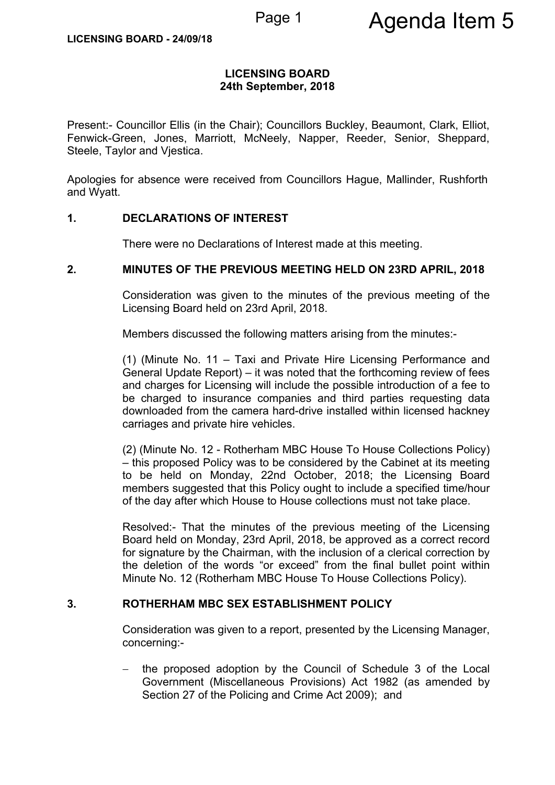### **LICENSING BOARD 24th September, 2018**

Present:- Councillor Ellis (in the Chair); Councillors Buckley, Beaumont, Clark, Elliot, Fenwick-Green, Jones, Marriott, McNeely, Napper, Reeder, Senior, Sheppard, Steele, Taylor and Viestica.

Apologies for absence were received from Councillors Hague, Mallinder, Rushforth and Wyatt.

### **1. DECLARATIONS OF INTEREST**

There were no Declarations of Interest made at this meeting.

### **2. MINUTES OF THE PREVIOUS MEETING HELD ON 23RD APRIL, 2018**

Consideration was given to the minutes of the previous meeting of the Licensing Board held on 23rd April, 2018.

Members discussed the following matters arising from the minutes:-

(1) (Minute No. 11 – Taxi and Private Hire Licensing Performance and General Update Report) – it was noted that the forthcoming review of fees and charges for Licensing will include the possible introduction of a fee to be charged to insurance companies and third parties requesting data downloaded from the camera hard-drive installed within licensed hackney carriages and private hire vehicles.

(2) (Minute No. 12 - Rotherham MBC House To House Collections Policy) – this proposed Policy was to be considered by the Cabinet at its meeting to be held on Monday, 22nd October, 2018; the Licensing Board members suggested that this Policy ought to include a specified time/hour of the day after which House to House collections must not take place.

Resolved:- That the minutes of the previous meeting of the Licensing Board held on Monday, 23rd April, 2018, be approved as a correct record for signature by the Chairman, with the inclusion of a clerical correction by the deletion of the words "or exceed" from the final bullet point within Minute No. 12 (Rotherham MBC House To House Collections Policy).

### **3. ROTHERHAM MBC SEX ESTABLISHMENT POLICY**

Consideration was given to a report, presented by the Licensing Manager, concerning:-

 the proposed adoption by the Council of Schedule 3 of the Local Government (Miscellaneous Provisions) Act 1982 (as amended by Section 27 of the Policing and Crime Act 2009); and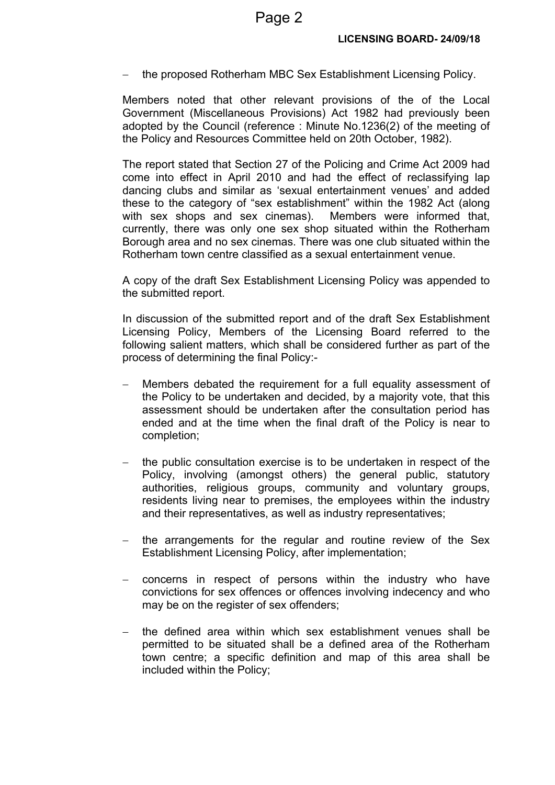the proposed Rotherham MBC Sex Establishment Licensing Policy.

Members noted that other relevant provisions of the of the Local Government (Miscellaneous Provisions) Act 1982 had previously been adopted by the Council (reference : Minute No.1236(2) of the meeting of the Policy and Resources Committee held on 20th October, 1982).

The report stated that Section 27 of the Policing and Crime Act 2009 had come into effect in April 2010 and had the effect of reclassifying lap dancing clubs and similar as 'sexual entertainment venues' and added these to the category of "sex establishment" within the 1982 Act (along with sex shops and sex cinemas). Members were informed that, currently, there was only one sex shop situated within the Rotherham Borough area and no sex cinemas. There was one club situated within the Rotherham town centre classified as a sexual entertainment venue.

A copy of the draft Sex Establishment Licensing Policy was appended to the submitted report.

In discussion of the submitted report and of the draft Sex Establishment Licensing Policy, Members of the Licensing Board referred to the following salient matters, which shall be considered further as part of the process of determining the final Policy:-

- Members debated the requirement for a full equality assessment of the Policy to be undertaken and decided, by a majority vote, that this assessment should be undertaken after the consultation period has ended and at the time when the final draft of the Policy is near to completion;
- the public consultation exercise is to be undertaken in respect of the Policy, involving (amongst others) the general public, statutory authorities, religious groups, community and voluntary groups, residents living near to premises, the employees within the industry and their representatives, as well as industry representatives;
- the arrangements for the regular and routine review of the Sex Establishment Licensing Policy, after implementation;
- concerns in respect of persons within the industry who have convictions for sex offences or offences involving indecency and who may be on the register of sex offenders;
- the defined area within which sex establishment venues shall be permitted to be situated shall be a defined area of the Rotherham town centre; a specific definition and map of this area shall be included within the Policy;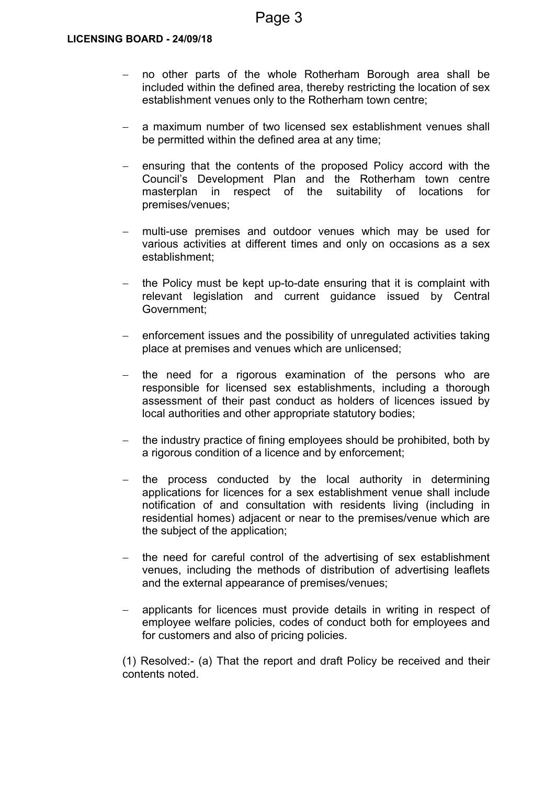- no other parts of the whole Rotherham Borough area shall be included within the defined area, thereby restricting the location of sex establishment venues only to the Rotherham town centre;
- a maximum number of two licensed sex establishment venues shall be permitted within the defined area at any time;
- ensuring that the contents of the proposed Policy accord with the Council's Development Plan and the Rotherham town centre masterplan in respect of the suitability of locations for premises/venues;
- multi-use premises and outdoor venues which may be used for various activities at different times and only on occasions as a sex establishment;
- the Policy must be kept up-to-date ensuring that it is complaint with relevant legislation and current guidance issued by Central Government;
- enforcement issues and the possibility of unregulated activities taking place at premises and venues which are unlicensed;
- the need for a rigorous examination of the persons who are responsible for licensed sex establishments, including a thorough assessment of their past conduct as holders of licences issued by local authorities and other appropriate statutory bodies;
- the industry practice of fining employees should be prohibited, both by a rigorous condition of a licence and by enforcement;
- the process conducted by the local authority in determining applications for licences for a sex establishment venue shall include notification of and consultation with residents living (including in residential homes) adjacent or near to the premises/venue which are the subject of the application;
- $-$  the need for careful control of the advertising of sex establishment venues, including the methods of distribution of advertising leaflets and the external appearance of premises/venues;
- applicants for licences must provide details in writing in respect of employee welfare policies, codes of conduct both for employees and for customers and also of pricing policies.

(1) Resolved:- (a) That the report and draft Policy be received and their contents noted.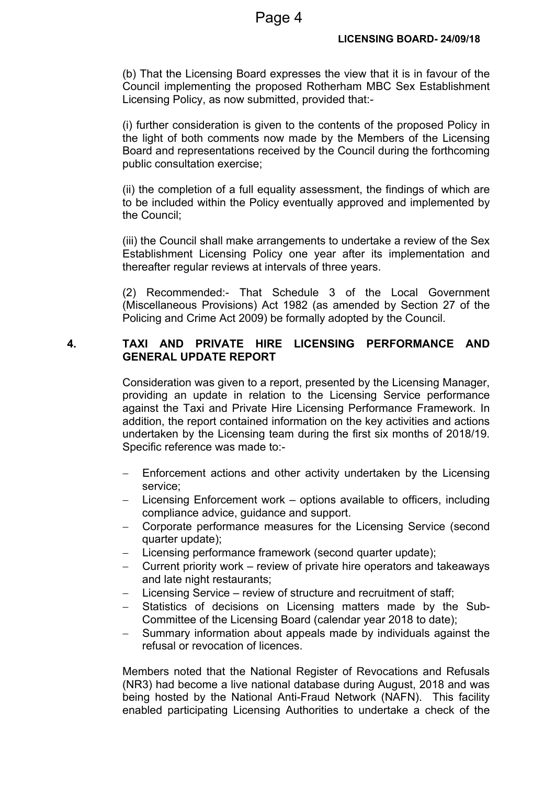(b) That the Licensing Board expresses the view that it is in favour of the Council implementing the proposed Rotherham MBC Sex Establishment Licensing Policy, as now submitted, provided that:-

(i) further consideration is given to the contents of the proposed Policy in the light of both comments now made by the Members of the Licensing Board and representations received by the Council during the forthcoming public consultation exercise;

(ii) the completion of a full equality assessment, the findings of which are to be included within the Policy eventually approved and implemented by the Council;

(iii) the Council shall make arrangements to undertake a review of the Sex Establishment Licensing Policy one year after its implementation and thereafter regular reviews at intervals of three years.

(2) Recommended:- That Schedule 3 of the Local Government (Miscellaneous Provisions) Act 1982 (as amended by Section 27 of the Policing and Crime Act 2009) be formally adopted by the Council.

### **4. TAXI AND PRIVATE HIRE LICENSING PERFORMANCE AND GENERAL UPDATE REPORT**

Consideration was given to a report, presented by the Licensing Manager, providing an update in relation to the Licensing Service performance against the Taxi and Private Hire Licensing Performance Framework. In addition, the report contained information on the key activities and actions undertaken by the Licensing team during the first six months of 2018/19. Specific reference was made to:-

- Enforcement actions and other activity undertaken by the Licensing service;
- $-$  Licensing Enforcement work  $-$  options available to officers, including compliance advice, guidance and support.
- Corporate performance measures for the Licensing Service (second quarter update);
- Licensing performance framework (second quarter update);
- Current priority work review of private hire operators and takeaways and late night restaurants;
- Licensing Service review of structure and recruitment of staff;
- Statistics of decisions on Licensing matters made by the Sub-Committee of the Licensing Board (calendar year 2018 to date);
- Summary information about appeals made by individuals against the refusal or revocation of licences.

Members noted that the National Register of Revocations and Refusals (NR3) had become a live national database during August, 2018 and was being hosted by the National Anti-Fraud Network (NAFN). This facility enabled participating Licensing Authorities to undertake a check of the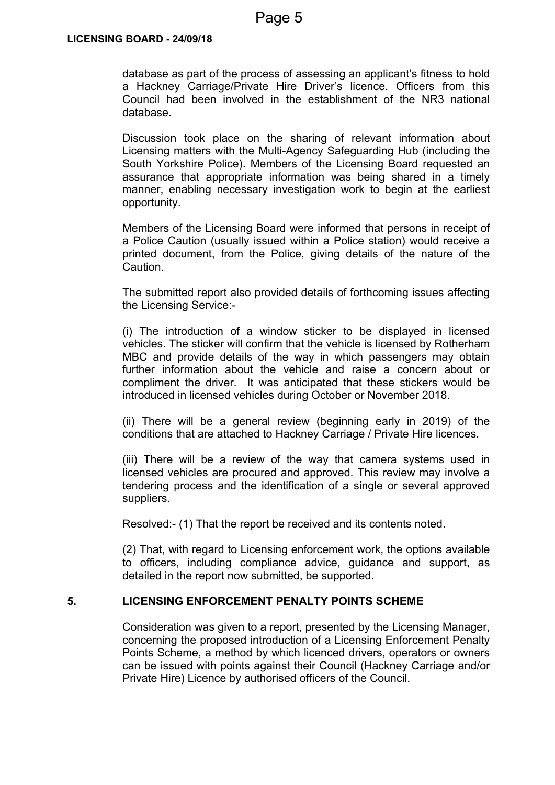database as part of the process of assessing an applicant's fitness to hold a Hackney Carriage/Private Hire Driver's licence. Officers from this Council had been involved in the establishment of the NR3 national database.

Discussion took place on the sharing of relevant information about Licensing matters with the Multi-Agency Safeguarding Hub (including the South Yorkshire Police). Members of the Licensing Board requested an assurance that appropriate information was being shared in a timely manner, enabling necessary investigation work to begin at the earliest opportunity.

Members of the Licensing Board were informed that persons in receipt of a Police Caution (usually issued within a Police station) would receive a printed document, from the Police, giving details of the nature of the Caution.

The submitted report also provided details of forthcoming issues affecting the Licensing Service:-

(i) The introduction of a window sticker to be displayed in licensed vehicles. The sticker will confirm that the vehicle is licensed by Rotherham MBC and provide details of the way in which passengers may obtain further information about the vehicle and raise a concern about or compliment the driver. It was anticipated that these stickers would be introduced in licensed vehicles during October or November 2018.

(ii) There will be a general review (beginning early in 2019) of the conditions that are attached to Hackney Carriage / Private Hire licences.

(iii) There will be a review of the way that camera systems used in licensed vehicles are procured and approved. This review may involve a tendering process and the identification of a single or several approved suppliers.

Resolved:- (1) That the report be received and its contents noted.

(2) That, with regard to Licensing enforcement work, the options available to officers, including compliance advice, guidance and support, as detailed in the report now submitted, be supported.

### **5. LICENSING ENFORCEMENT PENALTY POINTS SCHEME**

Consideration was given to a report, presented by the Licensing Manager, concerning the proposed introduction of a Licensing Enforcement Penalty Points Scheme, a method by which licenced drivers, operators or owners can be issued with points against their Council (Hackney Carriage and/or Private Hire) Licence by authorised officers of the Council.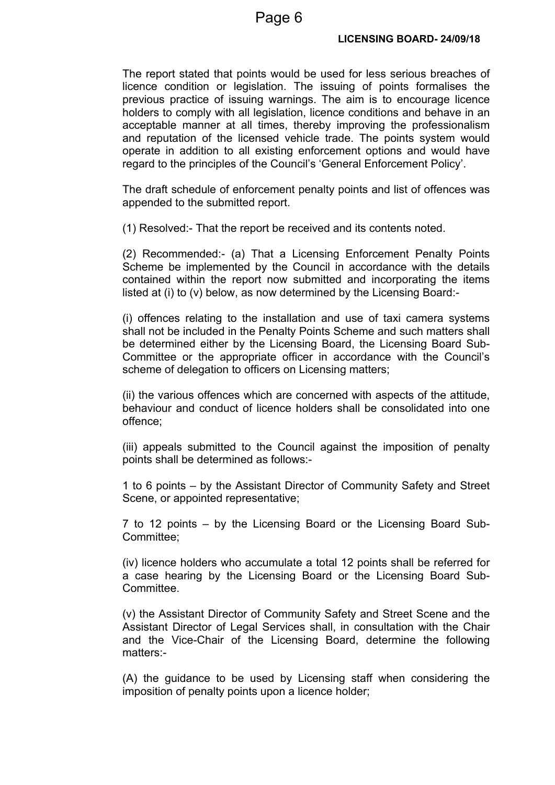The report stated that points would be used for less serious breaches of licence condition or legislation. The issuing of points formalises the previous practice of issuing warnings. The aim is to encourage licence holders to comply with all legislation, licence conditions and behave in an acceptable manner at all times, thereby improving the professionalism and reputation of the licensed vehicle trade. The points system would operate in addition to all existing enforcement options and would have regard to the principles of the Council's 'General Enforcement Policy'.

The draft schedule of enforcement penalty points and list of offences was appended to the submitted report.

(1) Resolved:- That the report be received and its contents noted.

(2) Recommended:- (a) That a Licensing Enforcement Penalty Points Scheme be implemented by the Council in accordance with the details contained within the report now submitted and incorporating the items listed at (i) to (v) below, as now determined by the Licensing Board:-

(i) offences relating to the installation and use of taxi camera systems shall not be included in the Penalty Points Scheme and such matters shall be determined either by the Licensing Board, the Licensing Board Sub-Committee or the appropriate officer in accordance with the Council's scheme of delegation to officers on Licensing matters;

(ii) the various offences which are concerned with aspects of the attitude, behaviour and conduct of licence holders shall be consolidated into one offence;

(iii) appeals submitted to the Council against the imposition of penalty points shall be determined as follows:-

1 to 6 points – by the Assistant Director of Community Safety and Street Scene, or appointed representative;

7 to 12 points – by the Licensing Board or the Licensing Board Sub-Committee;

(iv) licence holders who accumulate a total 12 points shall be referred for a case hearing by the Licensing Board or the Licensing Board Sub-**Committee.** 

(v) the Assistant Director of Community Safety and Street Scene and the Assistant Director of Legal Services shall, in consultation with the Chair and the Vice-Chair of the Licensing Board, determine the following matters:-

(A) the guidance to be used by Licensing staff when considering the imposition of penalty points upon a licence holder;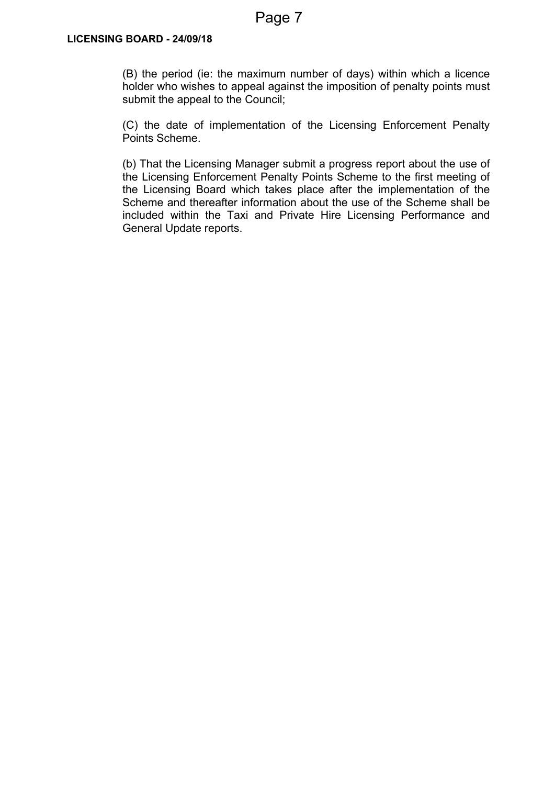(B) the period (ie: the maximum number of days) within which a licence holder who wishes to appeal against the imposition of penalty points must submit the appeal to the Council;

(C) the date of implementation of the Licensing Enforcement Penalty Points Scheme.

(b) That the Licensing Manager submit a progress report about the use of the Licensing Enforcement Penalty Points Scheme to the first meeting of the Licensing Board which takes place after the implementation of the Scheme and thereafter information about the use of the Scheme shall be included within the Taxi and Private Hire Licensing Performance and General Update reports.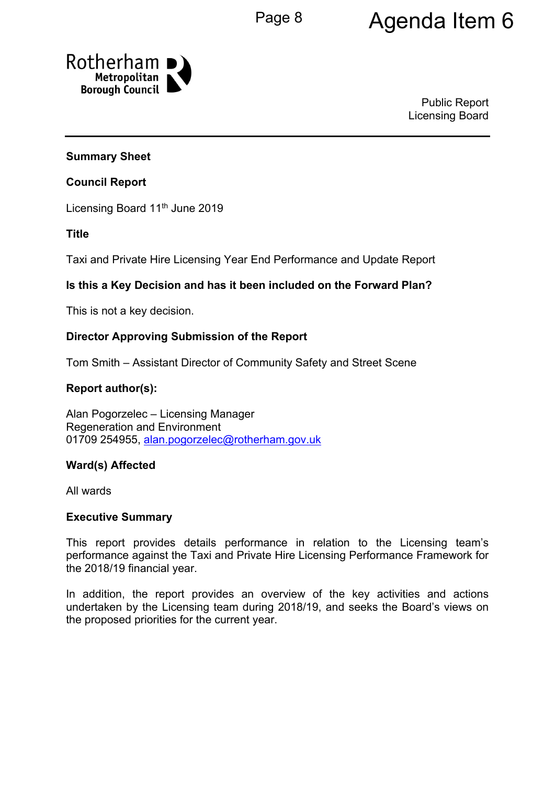# Page 8 **Agenda Item 6**



Public Report Licensing Board

### **Summary Sheet**

### **Council Report**

Licensing Board 11<sup>th</sup> June 2019

**Title**

Taxi and Private Hire Licensing Year End Performance and Update Report

### **Is this a Key Decision and has it been included on the Forward Plan?**

This is not a key decision.

### **Director Approving Submission of the Report**

Tom Smith – Assistant Director of Community Safety and Street Scene

### **Report author(s):**

Alan Pogorzelec – Licensing Manager Regeneration and Environment 01709 254955, [alan.pogorzelec@rotherham.gov.uk](mailto:alan.pogorzelec@rotherham.gov.uk)

### **Ward(s) Affected**

All wards

### **Executive Summary**

This report provides details performance in relation to the Licensing team's performance against the Taxi and Private Hire Licensing Performance Framework for the 2018/19 financial year.

In addition, the report provides an overview of the key activities and actions undertaken by the Licensing team during 2018/19, and seeks the Board's views on the proposed priorities for the current year.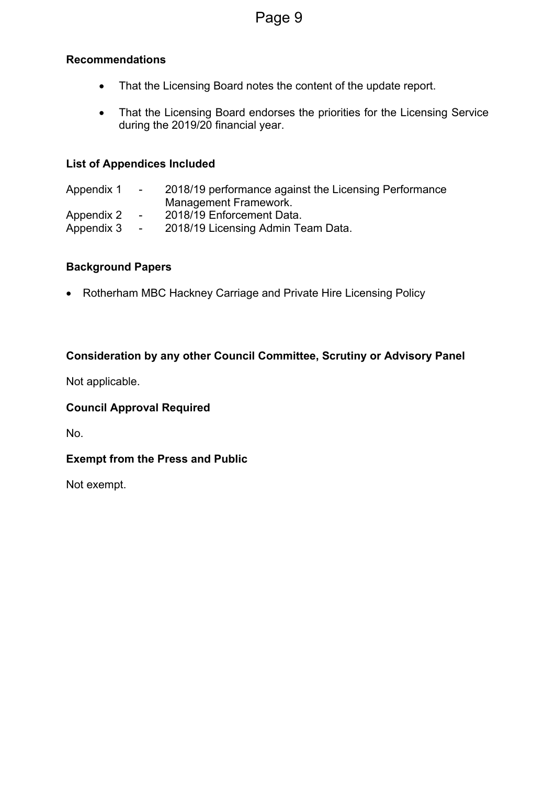### **Recommendations**

- That the Licensing Board notes the content of the update report.
- That the Licensing Board endorses the priorities for the Licensing Service during the 2019/20 financial year.

### **List of Appendices Included**

Appendix 1 - 2018/19 performance against the Licensing Performance Management Framework. Appendix 2 - 2018/19 Enforcement Data. Appendix 3 - 2018/19 Licensing Admin Team Data.

### **Background Papers**

• Rotherham MBC Hackney Carriage and Private Hire Licensing Policy

### **Consideration by any other Council Committee, Scrutiny or Advisory Panel**

Not applicable.

### **Council Approval Required**

No.

### **Exempt from the Press and Public**

Not exempt.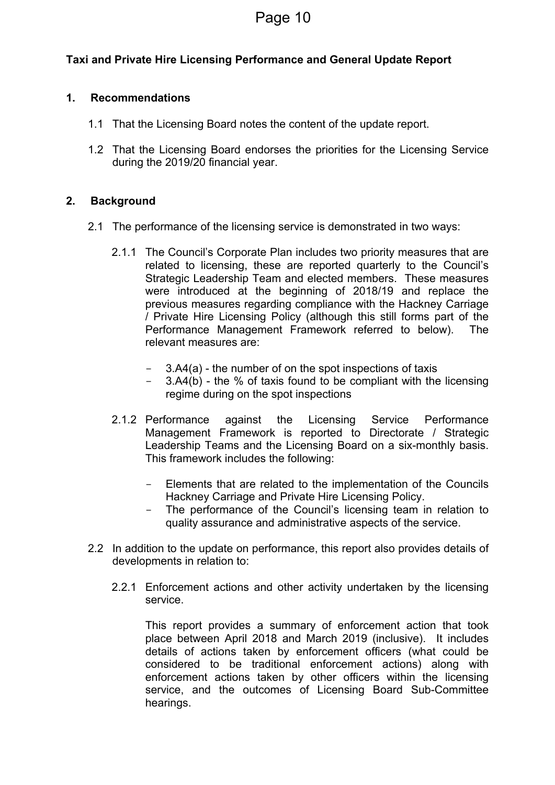### **Taxi and Private Hire Licensing Performance and General Update Report**

### **1. Recommendations**

- 1.1 That the Licensing Board notes the content of the update report.
- 1.2 That the Licensing Board endorses the priorities for the Licensing Service during the 2019/20 financial year.

### **2. Background**

- 2.1 The performance of the licensing service is demonstrated in two ways:
	- 2.1.1 The Council's Corporate Plan includes two priority measures that are related to licensing, these are reported quarterly to the Council's Strategic Leadership Team and elected members. These measures were introduced at the beginning of 2018/19 and replace the previous measures regarding compliance with the Hackney Carriage / Private Hire Licensing Policy (although this still forms part of the Performance Management Framework referred to below). The relevant measures are:
		- 3.A4(a) the number of on the spot inspections of taxis
		- $3.A4(b)$  the % of taxis found to be compliant with the licensing regime during on the spot inspections
	- 2.1.2 Performance against the Licensing Service Performance Management Framework is reported to Directorate / Strategic Leadership Teams and the Licensing Board on a six-monthly basis. This framework includes the following:
		- Elements that are related to the implementation of the Councils Hackney Carriage and Private Hire Licensing Policy.
		- The performance of the Council's licensing team in relation to quality assurance and administrative aspects of the service.
- 2.2 In addition to the update on performance, this report also provides details of developments in relation to:
	- 2.2.1 Enforcement actions and other activity undertaken by the licensing service.

This report provides a summary of enforcement action that took place between April 2018 and March 2019 (inclusive). It includes details of actions taken by enforcement officers (what could be considered to be traditional enforcement actions) along with enforcement actions taken by other officers within the licensing service, and the outcomes of Licensing Board Sub-Committee hearings.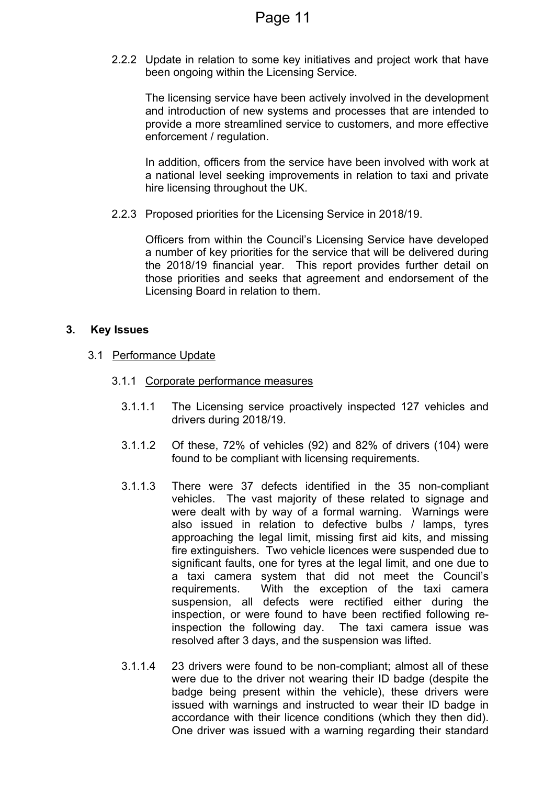2.2.2 Update in relation to some key initiatives and project work that have been ongoing within the Licensing Service.

The licensing service have been actively involved in the development and introduction of new systems and processes that are intended to provide a more streamlined service to customers, and more effective enforcement / regulation.

In addition, officers from the service have been involved with work at a national level seeking improvements in relation to taxi and private hire licensing throughout the UK.

2.2.3 Proposed priorities for the Licensing Service in 2018/19.

Officers from within the Council's Licensing Service have developed a number of key priorities for the service that will be delivered during the 2018/19 financial year. This report provides further detail on those priorities and seeks that agreement and endorsement of the Licensing Board in relation to them.

### **3. Key Issues**

- 3.1 Performance Update
	- 3.1.1 Corporate performance measures
		- 3.1.1.1 The Licensing service proactively inspected 127 vehicles and drivers during 2018/19.
		- 3.1.1.2 Of these, 72% of vehicles (92) and 82% of drivers (104) were found to be compliant with licensing requirements.
		- 3.1.1.3 There were 37 defects identified in the 35 non-compliant vehicles. The vast majority of these related to signage and were dealt with by way of a formal warning. Warnings were also issued in relation to defective bulbs / lamps, tyres approaching the legal limit, missing first aid kits, and missing fire extinguishers. Two vehicle licences were suspended due to significant faults, one for tyres at the legal limit, and one due to a taxi camera system that did not meet the Council's requirements. With the exception of the taxi camera suspension, all defects were rectified either during the inspection, or were found to have been rectified following reinspection the following day. The taxi camera issue was resolved after 3 days, and the suspension was lifted.
		- 3.1.1.4 23 drivers were found to be non-compliant; almost all of these were due to the driver not wearing their ID badge (despite the badge being present within the vehicle), these drivers were issued with warnings and instructed to wear their ID badge in accordance with their licence conditions (which they then did). One driver was issued with a warning regarding their standard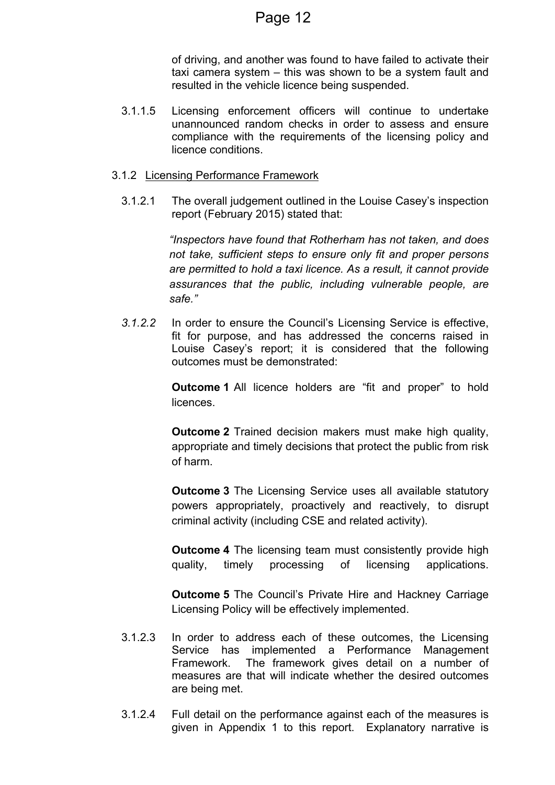of driving, and another was found to have failed to activate their taxi camera system – this was shown to be a system fault and resulted in the vehicle licence being suspended.

3.1.1.5 Licensing enforcement officers will continue to undertake unannounced random checks in order to assess and ensure compliance with the requirements of the licensing policy and licence conditions.

### 3.1.2 Licensing Performance Framework

3.1.2.1 The overall judgement outlined in the Louise Casey's inspection report (February 2015) stated that:

> *"Inspectors have found that Rotherham has not taken, and does not take, sufficient steps to ensure only fit and proper persons are permitted to hold a taxi licence. As a result, it cannot provide assurances that the public, including vulnerable people, are safe."*

*3.1.2.2* In order to ensure the Council's Licensing Service is effective, fit for purpose, and has addressed the concerns raised in Louise Casey's report; it is considered that the following outcomes must be demonstrated:

> **Outcome 1** All licence holders are "fit and proper" to hold licences.

> **Outcome 2** Trained decision makers must make high quality, appropriate and timely decisions that protect the public from risk of harm.

> **Outcome 3** The Licensing Service uses all available statutory powers appropriately, proactively and reactively, to disrupt criminal activity (including CSE and related activity).

> **Outcome 4** The licensing team must consistently provide high quality, timely processing of licensing applications.

> **Outcome 5** The Council's Private Hire and Hackney Carriage Licensing Policy will be effectively implemented.

- 3.1.2.3 In order to address each of these outcomes, the Licensing Service has implemented a Performance Management Framework. The framework gives detail on a number of measures are that will indicate whether the desired outcomes are being met.
- 3.1.2.4 Full detail on the performance against each of the measures is given in Appendix 1 to this report. Explanatory narrative is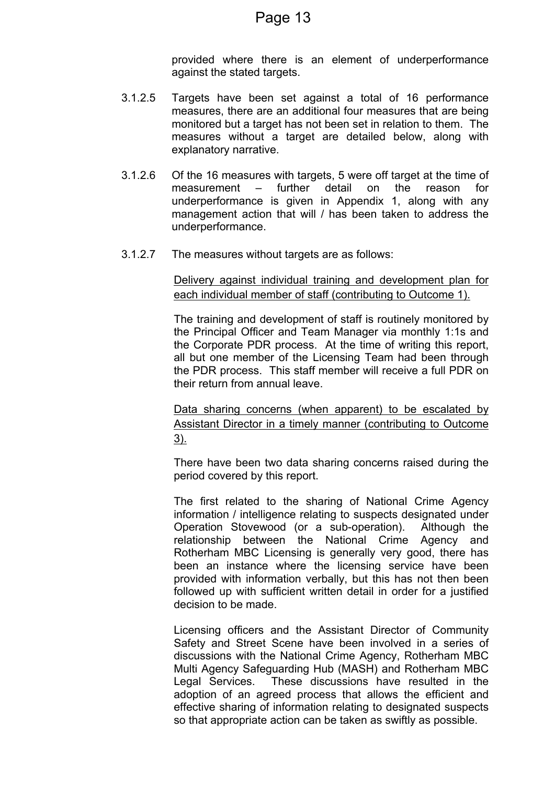provided where there is an element of underperformance against the stated targets.

- 3.1.2.5 Targets have been set against a total of 16 performance measures, there are an additional four measures that are being monitored but a target has not been set in relation to them. The measures without a target are detailed below, along with explanatory narrative.
- 3.1.2.6 Of the 16 measures with targets, 5 were off target at the time of measurement – further detail on the reason for underperformance is given in Appendix 1, along with any management action that will / has been taken to address the underperformance.
- 3.1.2.7 The measures without targets are as follows:

Delivery against individual training and development plan for each individual member of staff (contributing to Outcome 1).

The training and development of staff is routinely monitored by the Principal Officer and Team Manager via monthly 1:1s and the Corporate PDR process. At the time of writing this report, all but one member of the Licensing Team had been through the PDR process. This staff member will receive a full PDR on their return from annual leave.

Data sharing concerns (when apparent) to be escalated by Assistant Director in a timely manner (contributing to Outcome 3).

There have been two data sharing concerns raised during the period covered by this report.

The first related to the sharing of National Crime Agency information / intelligence relating to suspects designated under Operation Stovewood (or a sub-operation). Although the relationship between the National Crime Agency and Rotherham MBC Licensing is generally very good, there has been an instance where the licensing service have been provided with information verbally, but this has not then been followed up with sufficient written detail in order for a justified decision to be made.

Licensing officers and the Assistant Director of Community Safety and Street Scene have been involved in a series of discussions with the National Crime Agency, Rotherham MBC Multi Agency Safeguarding Hub (MASH) and Rotherham MBC Legal Services. These discussions have resulted in the adoption of an agreed process that allows the efficient and effective sharing of information relating to designated suspects so that appropriate action can be taken as swiftly as possible.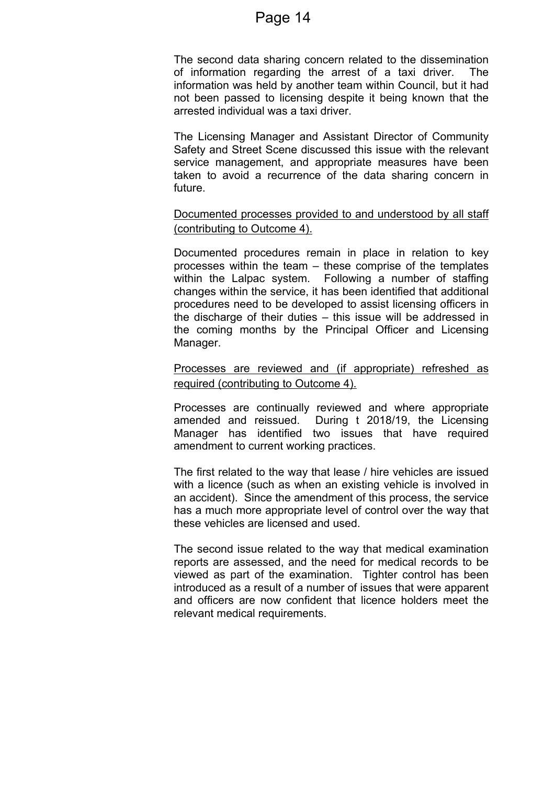The second data sharing concern related to the dissemination of information regarding the arrest of a taxi driver. The information was held by another team within Council, but it had not been passed to licensing despite it being known that the arrested individual was a taxi driver.

The Licensing Manager and Assistant Director of Community Safety and Street Scene discussed this issue with the relevant service management, and appropriate measures have been taken to avoid a recurrence of the data sharing concern in future.

Documented processes provided to and understood by all staff (contributing to Outcome 4).

Documented procedures remain in place in relation to key processes within the team – these comprise of the templates within the Lalpac system. Following a number of staffing changes within the service, it has been identified that additional procedures need to be developed to assist licensing officers in the discharge of their duties – this issue will be addressed in the coming months by the Principal Officer and Licensing Manager.

Processes are reviewed and (if appropriate) refreshed as required (contributing to Outcome 4).

Processes are continually reviewed and where appropriate amended and reissued. During t 2018/19, the Licensing Manager has identified two issues that have required amendment to current working practices.

The first related to the way that lease / hire vehicles are issued with a licence (such as when an existing vehicle is involved in an accident). Since the amendment of this process, the service has a much more appropriate level of control over the way that these vehicles are licensed and used.

The second issue related to the way that medical examination reports are assessed, and the need for medical records to be viewed as part of the examination. Tighter control has been introduced as a result of a number of issues that were apparent and officers are now confident that licence holders meet the relevant medical requirements.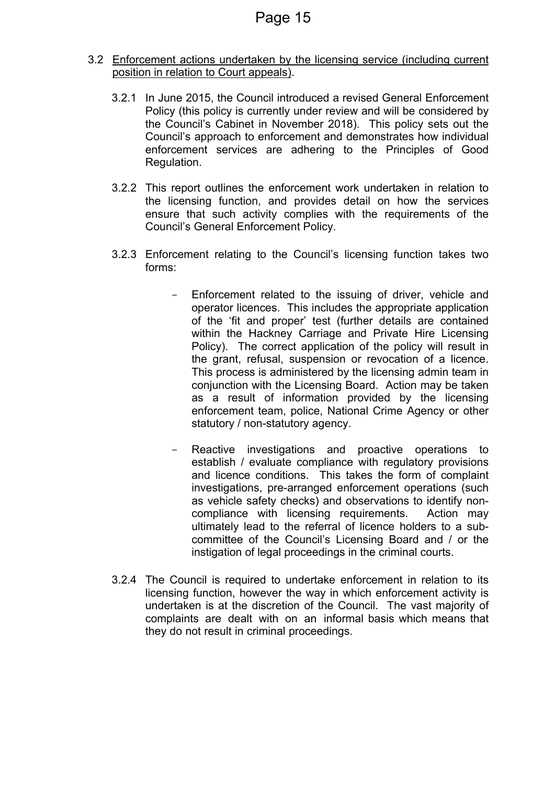- 3.2 Enforcement actions undertaken by the licensing service (including current position in relation to Court appeals).
	- 3.2.1 In June 2015, the Council introduced a revised General Enforcement Policy (this policy is currently under review and will be considered by the Council's Cabinet in November 2018). This policy sets out the Council's approach to enforcement and demonstrates how individual enforcement services are adhering to the Principles of Good Regulation.
	- 3.2.2 This report outlines the enforcement work undertaken in relation to the licensing function, and provides detail on how the services ensure that such activity complies with the requirements of the Council's General Enforcement Policy.
	- 3.2.3 Enforcement relating to the Council's licensing function takes two forms:
		- Enforcement related to the issuing of driver, vehicle and operator licences. This includes the appropriate application of the 'fit and proper' test (further details are contained within the Hackney Carriage and Private Hire Licensing Policy). The correct application of the policy will result in the grant, refusal, suspension or revocation of a licence. This process is administered by the licensing admin team in conjunction with the Licensing Board. Action may be taken as a result of information provided by the licensing enforcement team, police, National Crime Agency or other statutory / non-statutory agency.
		- Reactive investigations and proactive operations to establish / evaluate compliance with regulatory provisions and licence conditions. This takes the form of complaint investigations, pre-arranged enforcement operations (such as vehicle safety checks) and observations to identify noncompliance with licensing requirements. Action may ultimately lead to the referral of licence holders to a subcommittee of the Council's Licensing Board and / or the instigation of legal proceedings in the criminal courts.
	- 3.2.4 The Council is required to undertake enforcement in relation to its licensing function, however the way in which enforcement activity is undertaken is at the discretion of the Council. The vast majority of complaints are dealt with on an informal basis which means that they do not result in criminal proceedings.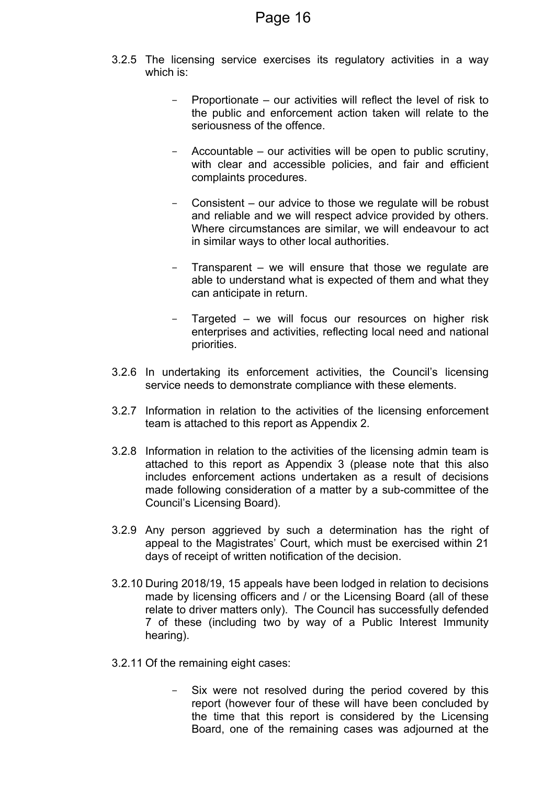- 3.2.5 The licensing service exercises its regulatory activities in a way which is:
	- Proportionate our activities will reflect the level of risk to the public and enforcement action taken will relate to the seriousness of the offence.
	- Accountable our activities will be open to public scrutiny, with clear and accessible policies, and fair and efficient complaints procedures.
	- Consistent our advice to those we regulate will be robust and reliable and we will respect advice provided by others. Where circumstances are similar, we will endeavour to act in similar ways to other local authorities.
	- Transparent we will ensure that those we regulate are able to understand what is expected of them and what they can anticipate in return.
	- Targeted we will focus our resources on higher risk enterprises and activities, reflecting local need and national priorities.
- 3.2.6 In undertaking its enforcement activities, the Council's licensing service needs to demonstrate compliance with these elements.
- 3.2.7 Information in relation to the activities of the licensing enforcement team is attached to this report as Appendix 2.
- 3.2.8 Information in relation to the activities of the licensing admin team is attached to this report as Appendix 3 (please note that this also includes enforcement actions undertaken as a result of decisions made following consideration of a matter by a sub-committee of the Council's Licensing Board).
- 3.2.9 Any person aggrieved by such a determination has the right of appeal to the Magistrates' Court, which must be exercised within 21 days of receipt of written notification of the decision.
- 3.2.10 During 2018/19, 15 appeals have been lodged in relation to decisions made by licensing officers and / or the Licensing Board (all of these relate to driver matters only). The Council has successfully defended 7 of these (including two by way of a Public Interest Immunity hearing).
- 3.2.11 Of the remaining eight cases:
	- Six were not resolved during the period covered by this report (however four of these will have been concluded by the time that this report is considered by the Licensing Board, one of the remaining cases was adjourned at the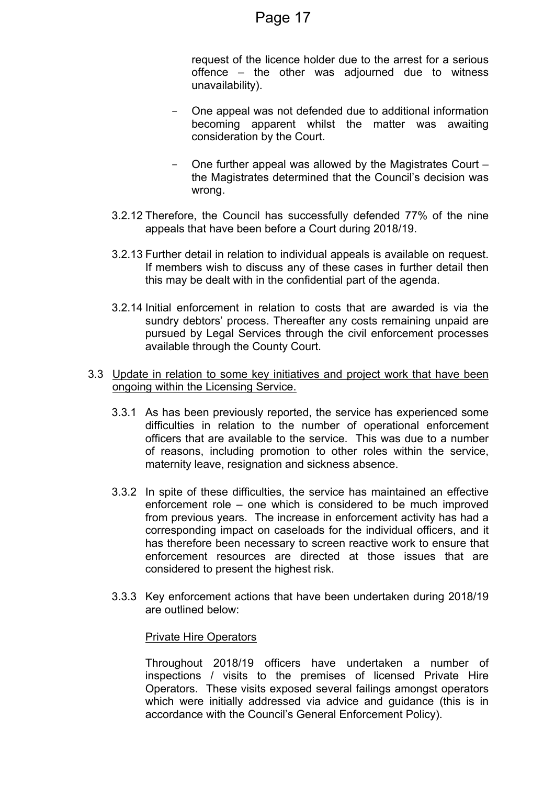request of the licence holder due to the arrest for a serious offence – the other was adjourned due to witness unavailability).

- One appeal was not defended due to additional information becoming apparent whilst the matter was awaiting consideration by the Court.
- One further appeal was allowed by the Magistrates Court the Magistrates determined that the Council's decision was wrong.
- 3.2.12 Therefore, the Council has successfully defended 77% of the nine appeals that have been before a Court during 2018/19.
- 3.2.13 Further detail in relation to individual appeals is available on request. If members wish to discuss any of these cases in further detail then this may be dealt with in the confidential part of the agenda.
- 3.2.14 Initial enforcement in relation to costs that are awarded is via the sundry debtors' process. Thereafter any costs remaining unpaid are pursued by Legal Services through the civil enforcement processes available through the County Court.
- 3.3 Update in relation to some key initiatives and project work that have been ongoing within the Licensing Service.
	- 3.3.1 As has been previously reported, the service has experienced some difficulties in relation to the number of operational enforcement officers that are available to the service. This was due to a number of reasons, including promotion to other roles within the service, maternity leave, resignation and sickness absence.
	- 3.3.2 In spite of these difficulties, the service has maintained an effective enforcement role – one which is considered to be much improved from previous years. The increase in enforcement activity has had a corresponding impact on caseloads for the individual officers, and it has therefore been necessary to screen reactive work to ensure that enforcement resources are directed at those issues that are considered to present the highest risk.
	- 3.3.3 Key enforcement actions that have been undertaken during 2018/19 are outlined below:

### Private Hire Operators

Throughout 2018/19 officers have undertaken a number of inspections / visits to the premises of licensed Private Hire Operators. These visits exposed several failings amongst operators which were initially addressed via advice and guidance (this is in accordance with the Council's General Enforcement Policy).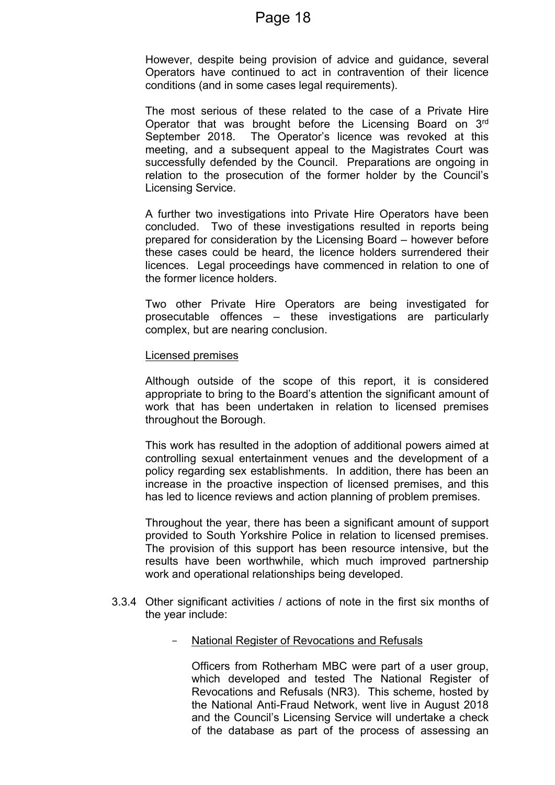However, despite being provision of advice and guidance, several Operators have continued to act in contravention of their licence conditions (and in some cases legal requirements).

The most serious of these related to the case of a Private Hire Operator that was brought before the Licensing Board on 3rd September 2018. The Operator's licence was revoked at this meeting, and a subsequent appeal to the Magistrates Court was successfully defended by the Council. Preparations are ongoing in relation to the prosecution of the former holder by the Council's Licensing Service.

A further two investigations into Private Hire Operators have been concluded. Two of these investigations resulted in reports being prepared for consideration by the Licensing Board – however before these cases could be heard, the licence holders surrendered their licences. Legal proceedings have commenced in relation to one of the former licence holders.

Two other Private Hire Operators are being investigated for prosecutable offences – these investigations are particularly complex, but are nearing conclusion.

#### Licensed premises

Although outside of the scope of this report, it is considered appropriate to bring to the Board's attention the significant amount of work that has been undertaken in relation to licensed premises throughout the Borough.

This work has resulted in the adoption of additional powers aimed at controlling sexual entertainment venues and the development of a policy regarding sex establishments. In addition, there has been an increase in the proactive inspection of licensed premises, and this has led to licence reviews and action planning of problem premises.

Throughout the year, there has been a significant amount of support provided to South Yorkshire Police in relation to licensed premises. The provision of this support has been resource intensive, but the results have been worthwhile, which much improved partnership work and operational relationships being developed.

- 3.3.4 Other significant activities / actions of note in the first six months of the year include:
	- National Register of Revocations and Refusals

Officers from Rotherham MBC were part of a user group, which developed and tested The National Register of Revocations and Refusals (NR3). This scheme, hosted by the National Anti-Fraud Network, went live in August 2018 and the Council's Licensing Service will undertake a check of the database as part of the process of assessing an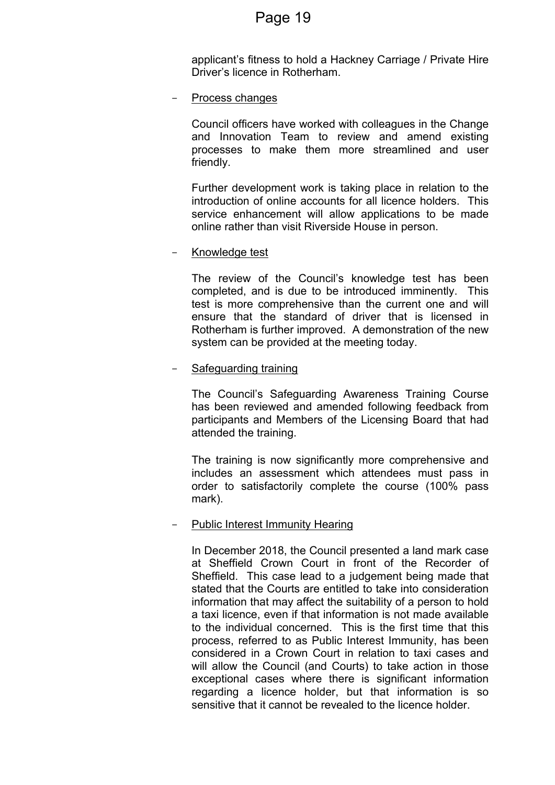applicant's fitness to hold a Hackney Carriage / Private Hire Driver's licence in Rotherham.

Process changes

Council officers have worked with colleagues in the Change and Innovation Team to review and amend existing processes to make them more streamlined and user friendly.

Further development work is taking place in relation to the introduction of online accounts for all licence holders. This service enhancement will allow applications to be made online rather than visit Riverside House in person.

### Knowledge test

The review of the Council's knowledge test has been completed, and is due to be introduced imminently. This test is more comprehensive than the current one and will ensure that the standard of driver that is licensed in Rotherham is further improved. A demonstration of the new system can be provided at the meeting today.

#### - Safeguarding training

The Council's Safeguarding Awareness Training Course has been reviewed and amended following feedback from participants and Members of the Licensing Board that had attended the training.

The training is now significantly more comprehensive and includes an assessment which attendees must pass in order to satisfactorily complete the course (100% pass mark).

#### Public Interest Immunity Hearing

In December 2018, the Council presented a land mark case at Sheffield Crown Court in front of the Recorder of Sheffield. This case lead to a judgement being made that stated that the Courts are entitled to take into consideration information that may affect the suitability of a person to hold a taxi licence, even if that information is not made available to the individual concerned. This is the first time that this process, referred to as Public Interest Immunity, has been considered in a Crown Court in relation to taxi cases and will allow the Council (and Courts) to take action in those exceptional cases where there is significant information regarding a licence holder, but that information is so sensitive that it cannot be revealed to the licence holder.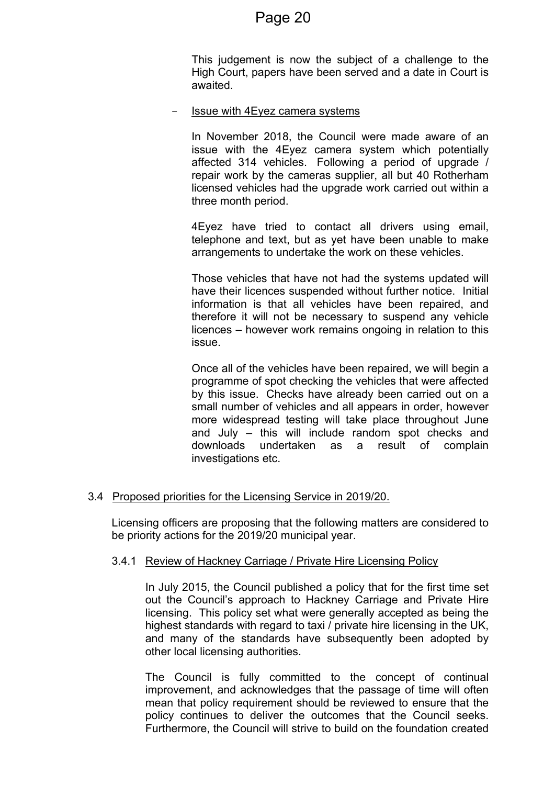This judgement is now the subject of a challenge to the High Court, papers have been served and a date in Court is awaited.

Issue with 4Eyez camera systems

In November 2018, the Council were made aware of an issue with the 4Eyez camera system which potentially affected 314 vehicles. Following a period of upgrade / repair work by the cameras supplier, all but 40 Rotherham licensed vehicles had the upgrade work carried out within a three month period.

4Eyez have tried to contact all drivers using email, telephone and text, but as yet have been unable to make arrangements to undertake the work on these vehicles.

Those vehicles that have not had the systems updated will have their licences suspended without further notice. Initial information is that all vehicles have been repaired, and therefore it will not be necessary to suspend any vehicle licences – however work remains ongoing in relation to this issue.

Once all of the vehicles have been repaired, we will begin a programme of spot checking the vehicles that were affected by this issue. Checks have already been carried out on a small number of vehicles and all appears in order, however more widespread testing will take place throughout June and July – this will include random spot checks and downloads undertaken as a result of complain investigations etc.

### 3.4 Proposed priorities for the Licensing Service in 2019/20.

Licensing officers are proposing that the following matters are considered to be priority actions for the 2019/20 municipal year.

#### 3.4.1 Review of Hackney Carriage / Private Hire Licensing Policy

In July 2015, the Council published a policy that for the first time set out the Council's approach to Hackney Carriage and Private Hire licensing. This policy set what were generally accepted as being the highest standards with regard to taxi / private hire licensing in the UK, and many of the standards have subsequently been adopted by other local licensing authorities.

The Council is fully committed to the concept of continual improvement, and acknowledges that the passage of time will often mean that policy requirement should be reviewed to ensure that the policy continues to deliver the outcomes that the Council seeks. Furthermore, the Council will strive to build on the foundation created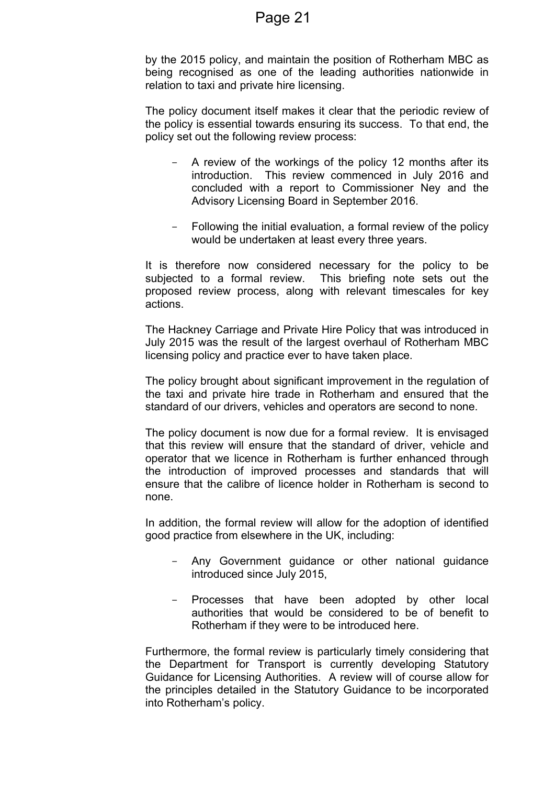by the 2015 policy, and maintain the position of Rotherham MBC as being recognised as one of the leading authorities nationwide in relation to taxi and private hire licensing.

The policy document itself makes it clear that the periodic review of the policy is essential towards ensuring its success. To that end, the policy set out the following review process:

- A review of the workings of the policy 12 months after its introduction. This review commenced in July 2016 and concluded with a report to Commissioner Ney and the Advisory Licensing Board in September 2016.
- Following the initial evaluation, a formal review of the policy would be undertaken at least every three years.

It is therefore now considered necessary for the policy to be subjected to a formal review. This briefing note sets out the proposed review process, along with relevant timescales for key actions.

The Hackney Carriage and Private Hire Policy that was introduced in July 2015 was the result of the largest overhaul of Rotherham MBC licensing policy and practice ever to have taken place.

The policy brought about significant improvement in the regulation of the taxi and private hire trade in Rotherham and ensured that the standard of our drivers, vehicles and operators are second to none.

The policy document is now due for a formal review. It is envisaged that this review will ensure that the standard of driver, vehicle and operator that we licence in Rotherham is further enhanced through the introduction of improved processes and standards that will ensure that the calibre of licence holder in Rotherham is second to none.

In addition, the formal review will allow for the adoption of identified good practice from elsewhere in the UK, including:

- Any Government guidance or other national guidance introduced since July 2015,
- Processes that have been adopted by other local authorities that would be considered to be of benefit to Rotherham if they were to be introduced here.

Furthermore, the formal review is particularly timely considering that the Department for Transport is currently developing Statutory Guidance for Licensing Authorities. A review will of course allow for the principles detailed in the Statutory Guidance to be incorporated into Rotherham's policy.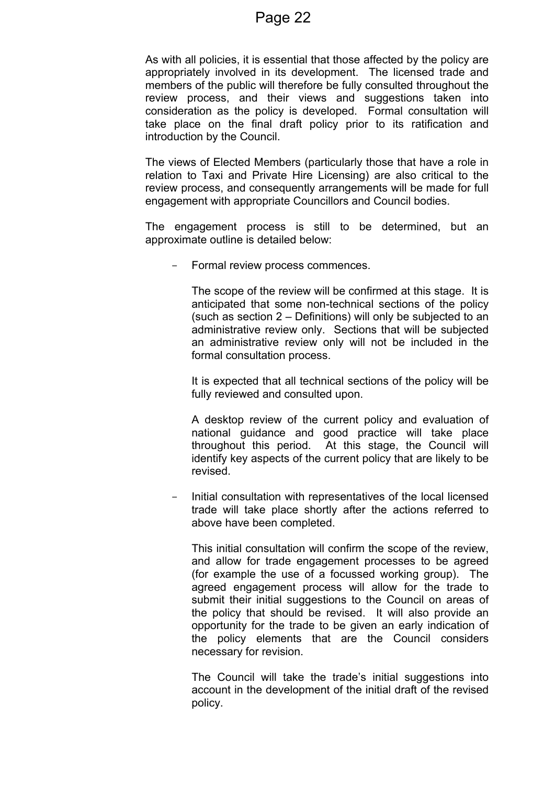As with all policies, it is essential that those affected by the policy are appropriately involved in its development. The licensed trade and members of the public will therefore be fully consulted throughout the review process, and their views and suggestions taken into consideration as the policy is developed. Formal consultation will take place on the final draft policy prior to its ratification and introduction by the Council.

The views of Elected Members (particularly those that have a role in relation to Taxi and Private Hire Licensing) are also critical to the review process, and consequently arrangements will be made for full engagement with appropriate Councillors and Council bodies.

The engagement process is still to be determined, but an approximate outline is detailed below:

Formal review process commences.

The scope of the review will be confirmed at this stage. It is anticipated that some non-technical sections of the policy (such as section 2 – Definitions) will only be subjected to an administrative review only. Sections that will be subjected an administrative review only will not be included in the formal consultation process.

It is expected that all technical sections of the policy will be fully reviewed and consulted upon.

A desktop review of the current policy and evaluation of national guidance and good practice will take place throughout this period. At this stage, the Council will identify key aspects of the current policy that are likely to be revised.

- Initial consultation with representatives of the local licensed trade will take place shortly after the actions referred to above have been completed.

This initial consultation will confirm the scope of the review, and allow for trade engagement processes to be agreed (for example the use of a focussed working group). The agreed engagement process will allow for the trade to submit their initial suggestions to the Council on areas of the policy that should be revised. It will also provide an opportunity for the trade to be given an early indication of the policy elements that are the Council considers necessary for revision.

The Council will take the trade's initial suggestions into account in the development of the initial draft of the revised policy.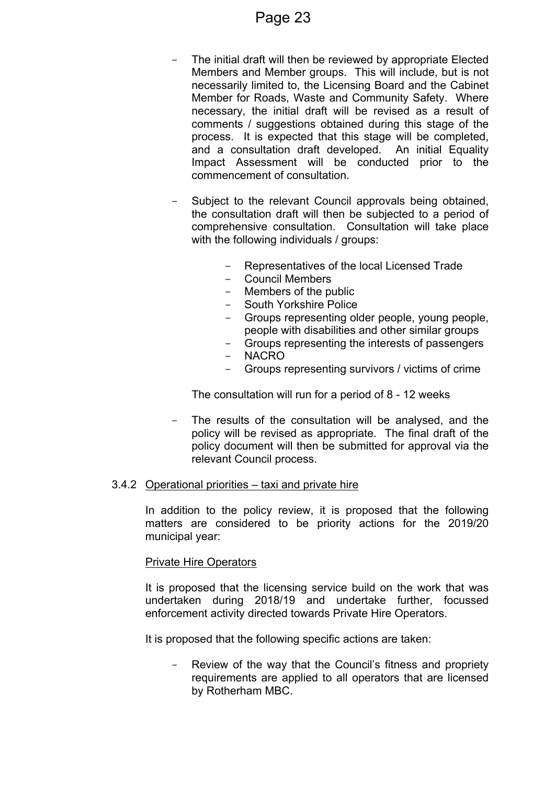- The initial draft will then be reviewed by appropriate Elected Members and Member groups. This will include, but is not necessarily limited to, the Licensing Board and the Cabinet Member for Roads, Waste and Community Safety. Where necessary, the initial draft will be revised as a result of comments / suggestions obtained during this stage of the process. It is expected that this stage will be completed, and a consultation draft developed. An initial Equality Impact Assessment will be conducted prior to the commencement of consultation.
- Subject to the relevant Council approvals being obtained, the consultation draft will then be subjected to a period of comprehensive consultation. Consultation will take place with the following individuals / groups:
	- Representatives of the local Licensed Trade
	- Council Members
	- Members of the public
	- South Yorkshire Police
	- Groups representing older people, young people, people with disabilities and other similar groups
	- Groups representing the interests of passengers
	- NACRO
	- Groups representing survivors / victims of crime

The consultation will run for a period of 8 - 12 weeks

- The results of the consultation will be analysed, and the policy will be revised as appropriate. The final draft of the policy document will then be submitted for approval via the relevant Council process.

#### 3.4.2 Operational priorities – taxi and private hire

In addition to the policy review, it is proposed that the following matters are considered to be priority actions for the 2019/20 municipal year:

#### Private Hire Operators

It is proposed that the licensing service build on the work that was undertaken during 2018/19 and undertake further, focussed enforcement activity directed towards Private Hire Operators.

It is proposed that the following specific actions are taken:

Review of the way that the Council's fitness and propriety requirements are applied to all operators that are licensed by Rotherham MBC.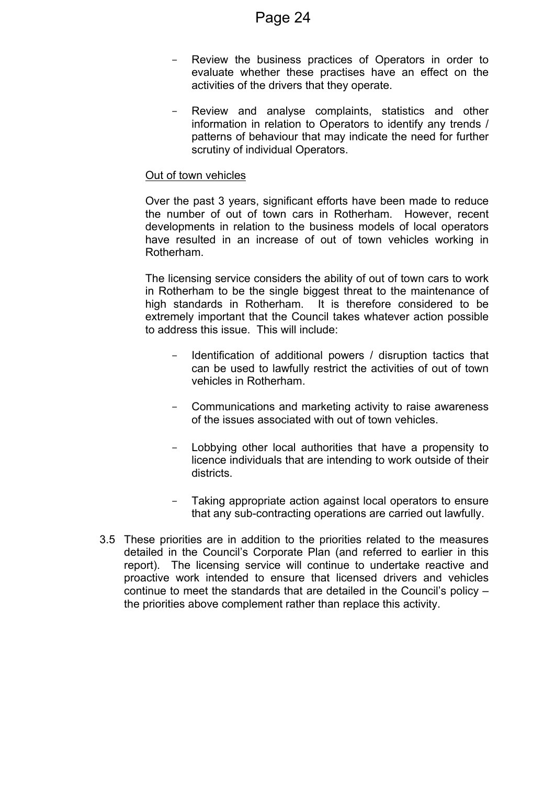- Review the business practices of Operators in order to evaluate whether these practises have an effect on the activities of the drivers that they operate.
- Review and analyse complaints, statistics and other information in relation to Operators to identify any trends / patterns of behaviour that may indicate the need for further scrutiny of individual Operators.

#### Out of town vehicles

Over the past 3 years, significant efforts have been made to reduce the number of out of town cars in Rotherham. However, recent developments in relation to the business models of local operators have resulted in an increase of out of town vehicles working in Rotherham.

The licensing service considers the ability of out of town cars to work in Rotherham to be the single biggest threat to the maintenance of high standards in Rotherham. It is therefore considered to be extremely important that the Council takes whatever action possible to address this issue. This will include:

- Identification of additional powers / disruption tactics that can be used to lawfully restrict the activities of out of town vehicles in Rotherham.
- Communications and marketing activity to raise awareness of the issues associated with out of town vehicles.
- Lobbying other local authorities that have a propensity to licence individuals that are intending to work outside of their districts.
- Taking appropriate action against local operators to ensure that any sub-contracting operations are carried out lawfully.
- 3.5 These priorities are in addition to the priorities related to the measures detailed in the Council's Corporate Plan (and referred to earlier in this report). The licensing service will continue to undertake reactive and proactive work intended to ensure that licensed drivers and vehicles continue to meet the standards that are detailed in the Council's policy – the priorities above complement rather than replace this activity.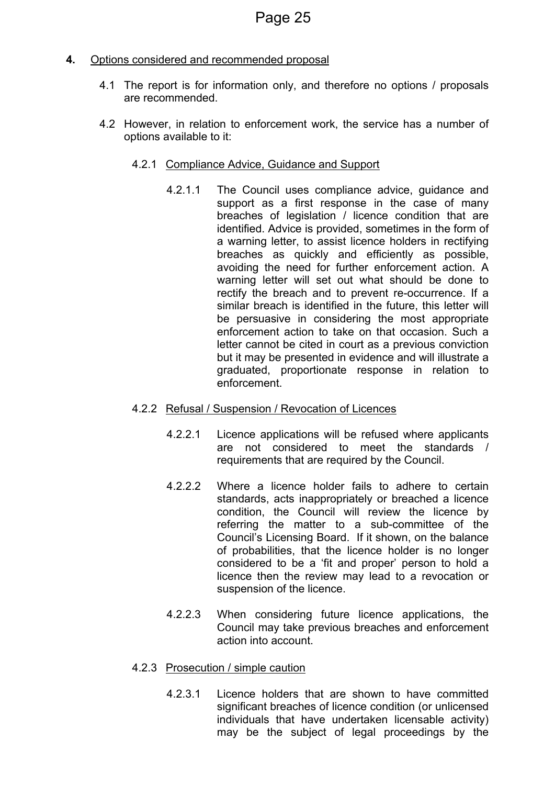### **4.** Options considered and recommended proposal

- 4.1 The report is for information only, and therefore no options / proposals are recommended.
- 4.2 However, in relation to enforcement work, the service has a number of options available to it:
	- 4.2.1 Compliance Advice, Guidance and Support
		- 4.2.1.1 The Council uses compliance advice, guidance and support as a first response in the case of many breaches of legislation / licence condition that are identified. Advice is provided, sometimes in the form of a warning letter, to assist licence holders in rectifying breaches as quickly and efficiently as possible, avoiding the need for further enforcement action. A warning letter will set out what should be done to rectify the breach and to prevent re-occurrence. If a similar breach is identified in the future, this letter will be persuasive in considering the most appropriate enforcement action to take on that occasion. Such a letter cannot be cited in court as a previous conviction but it may be presented in evidence and will illustrate a graduated, proportionate response in relation to enforcement.
	- 4.2.2 Refusal / Suspension / Revocation of Licences
		- 4.2.2.1 Licence applications will be refused where applicants are not considered to meet the standards / requirements that are required by the Council.
		- 4.2.2.2 Where a licence holder fails to adhere to certain standards, acts inappropriately or breached a licence condition, the Council will review the licence by referring the matter to a sub-committee of the Council's Licensing Board. If it shown, on the balance of probabilities, that the licence holder is no longer considered to be a 'fit and proper' person to hold a licence then the review may lead to a revocation or suspension of the licence.
		- 4.2.2.3 When considering future licence applications, the Council may take previous breaches and enforcement action into account.
	- 4.2.3 Prosecution / simple caution
		- 4.2.3.1 Licence holders that are shown to have committed significant breaches of licence condition (or unlicensed individuals that have undertaken licensable activity) may be the subject of legal proceedings by the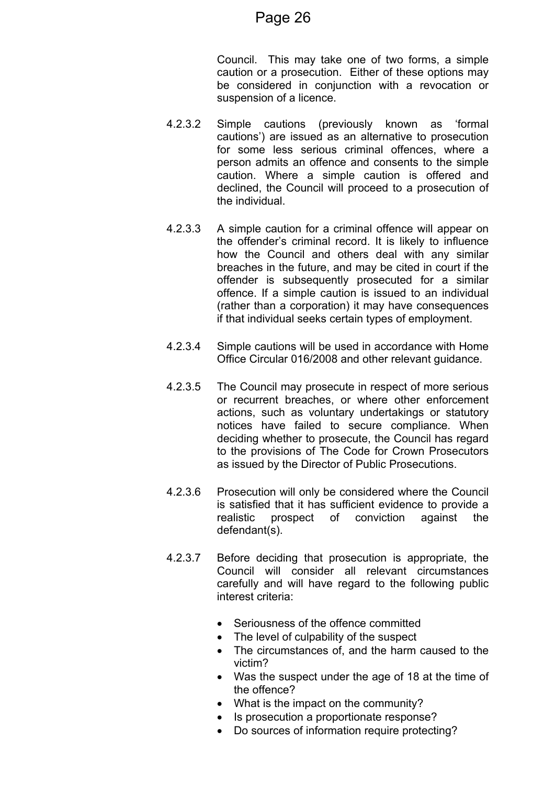Council. This may take one of two forms, a simple caution or a prosecution. Either of these options may be considered in conjunction with a revocation or suspension of a licence.

- 4.2.3.2 Simple cautions (previously known as 'formal cautions') are issued as an alternative to prosecution for some less serious criminal offences, where a person admits an offence and consents to the simple caution. Where a simple caution is offered and declined, the Council will proceed to a prosecution of the individual.
- 4.2.3.3 A simple caution for a criminal offence will appear on the offender's criminal record. It is likely to influence how the Council and others deal with any similar breaches in the future, and may be cited in court if the offender is subsequently prosecuted for a similar offence. If a simple caution is issued to an individual (rather than a corporation) it may have consequences if that individual seeks certain types of employment.
- 4.2.3.4 Simple cautions will be used in accordance with Home Office Circular 016/2008 and other relevant guidance.
- 4.2.3.5 The Council may prosecute in respect of more serious or recurrent breaches, or where other enforcement actions, such as voluntary undertakings or statutory notices have failed to secure compliance. When deciding whether to prosecute, the Council has regard to the provisions of The Code for Crown [Prosecutors](http://www.cps.gov.uk/publications/code_for_crown_prosecutors) as issued by the Director of Public Prosecutions.
- 4.2.3.6 Prosecution will only be considered where the Council is satisfied that it has sufficient evidence to provide a realistic prospect of conviction against the defendant(s).
- 4.2.3.7 Before deciding that prosecution is appropriate, the Council will consider all relevant circumstances carefully and will have regard to the following public interest criteria:
	- Seriousness of the offence committed
	- The level of culpability of the suspect
	- The circumstances of, and the harm caused to the victim?
	- Was the suspect under the age of 18 at the time of the offence?
	- What is the impact on the community?
	- Is prosecution a proportionate response?
	- Do sources of information require protecting?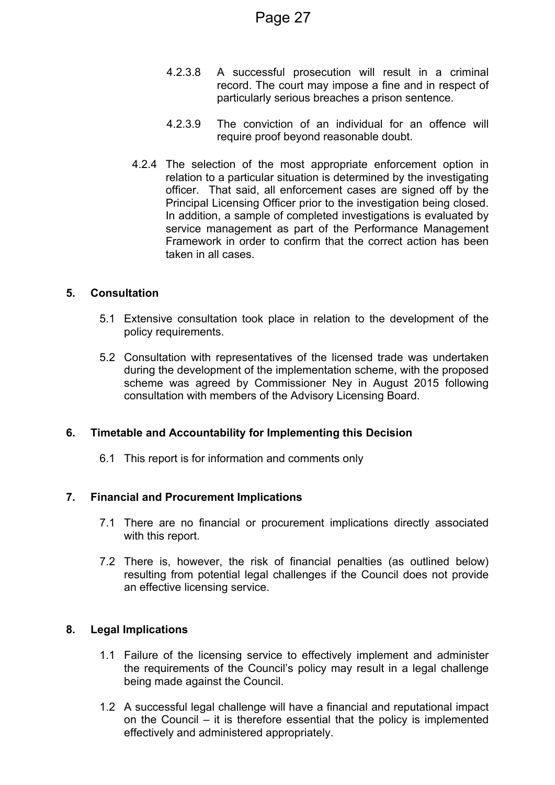- 4.2.3.8 A successful prosecution will result in a criminal record. The court may impose a fine and in respect of particularly serious breaches a prison sentence.
- 4.2.3.9 The conviction of an individual for an offence will require proof beyond reasonable doubt.
- 4.2.4 The selection of the most appropriate enforcement option in relation to a particular situation is determined by the investigating officer. That said, all enforcement cases are signed off by the Principal Licensing Officer prior to the investigation being closed. In addition, a sample of completed investigations is evaluated by service management as part of the Performance Management Framework in order to confirm that the correct action has been taken in all cases.

### **5. Consultation**

- 5.1 Extensive consultation took place in relation to the development of the policy requirements.
- 5.2 Consultation with representatives of the licensed trade was undertaken during the development of the implementation scheme, with the proposed scheme was agreed by Commissioner Ney in August 2015 following consultation with members of the Advisory Licensing Board.

### **6. Timetable and Accountability for Implementing this Decision**

6.1 This report is for information and comments only

### **7. Financial and Procurement Implications**

- 7.1 There are no financial or procurement implications directly associated with this report.
- 7.2 There is, however, the risk of financial penalties (as outlined below) resulting from potential legal challenges if the Council does not provide an effective licensing service.

### **8. Legal Implications**

- 1.1 Failure of the licensing service to effectively implement and administer the requirements of the Council's policy may result in a legal challenge being made against the Council.
- 1.2 A successful legal challenge will have a financial and reputational impact on the Council – it is therefore essential that the policy is implemented effectively and administered appropriately.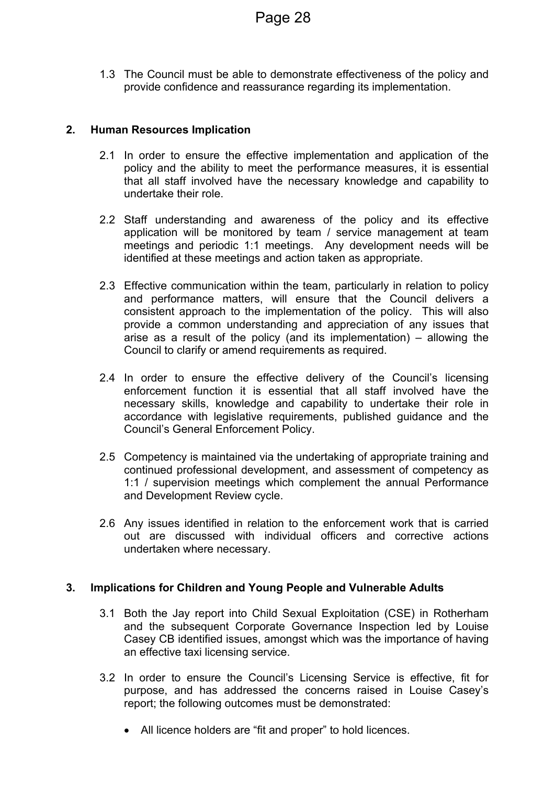1.3 The Council must be able to demonstrate effectiveness of the policy and provide confidence and reassurance regarding its implementation.

### **2. Human Resources Implication**

- 2.1 In order to ensure the effective implementation and application of the policy and the ability to meet the performance measures, it is essential that all staff involved have the necessary knowledge and capability to undertake their role.
- 2.2 Staff understanding and awareness of the policy and its effective application will be monitored by team / service management at team meetings and periodic 1:1 meetings. Any development needs will be identified at these meetings and action taken as appropriate.
- 2.3 Effective communication within the team, particularly in relation to policy and performance matters, will ensure that the Council delivers a consistent approach to the implementation of the policy. This will also provide a common understanding and appreciation of any issues that arise as a result of the policy (and its implementation) – allowing the Council to clarify or amend requirements as required.
- 2.4 In order to ensure the effective delivery of the Council's licensing enforcement function it is essential that all staff involved have the necessary skills, knowledge and capability to undertake their role in accordance with legislative requirements, published guidance and the Council's General Enforcement Policy.
- 2.5 Competency is maintained via the undertaking of appropriate training and continued professional development, and assessment of competency as 1:1 / supervision meetings which complement the annual Performance and Development Review cycle.
- 2.6 Any issues identified in relation to the enforcement work that is carried out are discussed with individual officers and corrective actions undertaken where necessary.

### **3. Implications for Children and Young People and Vulnerable Adults**

- 3.1 Both the Jay report into Child Sexual Exploitation (CSE) in Rotherham and the subsequent Corporate Governance Inspection led by Louise Casey CB identified issues, amongst which was the importance of having an effective taxi licensing service.
- 3.2 In order to ensure the Council's Licensing Service is effective, fit for purpose, and has addressed the concerns raised in Louise Casey's report; the following outcomes must be demonstrated:
	- All licence holders are "fit and proper" to hold licences.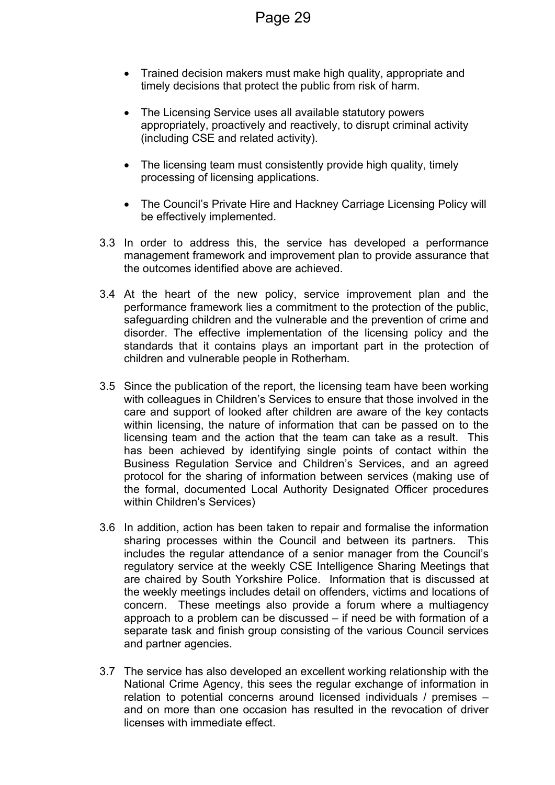- Trained decision makers must make high quality, appropriate and timely decisions that protect the public from risk of harm.
- The Licensing Service uses all available statutory powers appropriately, proactively and reactively, to disrupt criminal activity (including CSE and related activity).
- The licensing team must consistently provide high quality, timely processing of licensing applications.
- The Council's Private Hire and Hackney Carriage Licensing Policy will be effectively implemented.
- 3.3 In order to address this, the service has developed a performance management framework and improvement plan to provide assurance that the outcomes identified above are achieved.
- 3.4 At the heart of the new policy, service improvement plan and the performance framework lies a commitment to the protection of the public, safeguarding children and the vulnerable and the prevention of crime and disorder. The effective implementation of the licensing policy and the standards that it contains plays an important part in the protection of children and vulnerable people in Rotherham.
- 3.5 Since the publication of the report, the licensing team have been working with colleagues in Children's Services to ensure that those involved in the care and support of looked after children are aware of the key contacts within licensing, the nature of information that can be passed on to the licensing team and the action that the team can take as a result. This has been achieved by identifying single points of contact within the Business Regulation Service and Children's Services, and an agreed protocol for the sharing of information between services (making use of the formal, documented Local Authority Designated Officer procedures within Children's Services)
- 3.6 In addition, action has been taken to repair and formalise the information sharing processes within the Council and between its partners. This includes the regular attendance of a senior manager from the Council's regulatory service at the weekly CSE Intelligence Sharing Meetings that are chaired by South Yorkshire Police. Information that is discussed at the weekly meetings includes detail on offenders, victims and locations of concern. These meetings also provide a forum where a multiagency approach to a problem can be discussed – if need be with formation of a separate task and finish group consisting of the various Council services and partner agencies.
- 3.7 The service has also developed an excellent working relationship with the National Crime Agency, this sees the regular exchange of information in relation to potential concerns around licensed individuals / premises – and on more than one occasion has resulted in the revocation of driver licenses with immediate effect.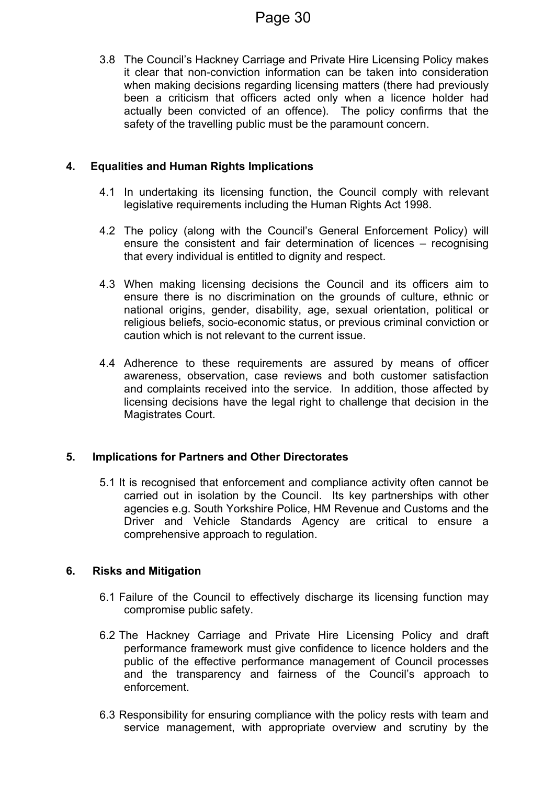3.8 The Council's Hackney Carriage and Private Hire Licensing Policy makes it clear that non-conviction information can be taken into consideration when making decisions regarding licensing matters (there had previously been a criticism that officers acted only when a licence holder had actually been convicted of an offence). The policy confirms that the safety of the travelling public must be the paramount concern.

### **4. Equalities and Human Rights Implications**

- 4.1 In undertaking its licensing function, the Council comply with relevant legislative requirements including the Human Rights Act 1998.
- 4.2 The policy (along with the Council's General Enforcement Policy) will ensure the consistent and fair determination of licences – recognising that every individual is entitled to dignity and respect.
- 4.3 When making licensing decisions the Council and its officers aim to ensure there is no discrimination on the grounds of culture, ethnic or national origins, gender, disability, age, sexual orientation, political or religious beliefs, socio-economic status, or previous criminal conviction or caution which is not relevant to the current issue.
- 4.4 Adherence to these requirements are assured by means of officer awareness, observation, case reviews and both customer satisfaction and complaints received into the service. In addition, those affected by licensing decisions have the legal right to challenge that decision in the Magistrates Court.

### **5. Implications for Partners and Other Directorates**

5.1 It is recognised that enforcement and compliance activity often cannot be carried out in isolation by the Council. Its key partnerships with other agencies e.g. South Yorkshire Police, HM Revenue and Customs and the Driver and Vehicle Standards Agency are critical to ensure a comprehensive approach to regulation.

### **6. Risks and Mitigation**

- 6.1 Failure of the Council to effectively discharge its licensing function may compromise public safety.
- 6.2 The Hackney Carriage and Private Hire Licensing Policy and draft performance framework must give confidence to licence holders and the public of the effective performance management of Council processes and the transparency and fairness of the Council's approach to enforcement.
- 6.3 Responsibility for ensuring compliance with the policy rests with team and service management, with appropriate overview and scrutiny by the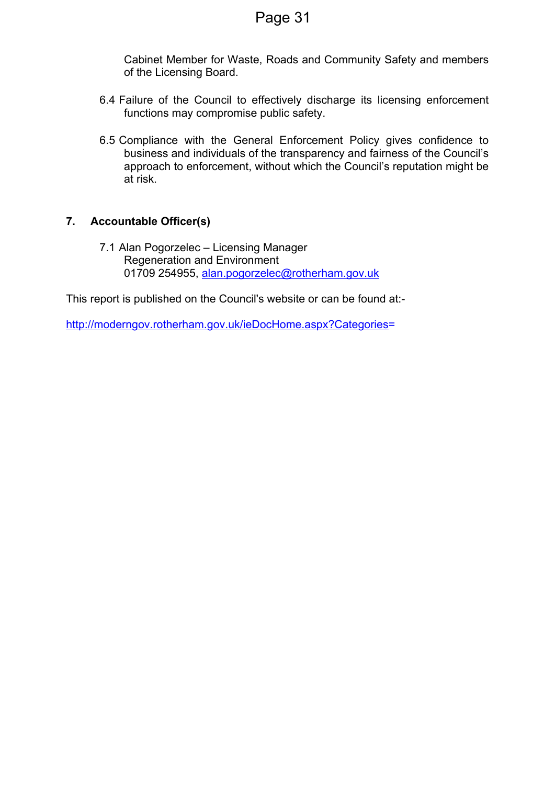Cabinet Member for Waste, Roads and Community Safety and members of the Licensing Board.

- 6.4 Failure of the Council to effectively discharge its licensing enforcement functions may compromise public safety.
- 6.5 Compliance with the General Enforcement Policy gives confidence to business and individuals of the transparency and fairness of the Council's approach to enforcement, without which the Council's reputation might be at risk.

### **7. Accountable Officer(s)**

7.1 Alan Pogorzelec – Licensing Manager Regeneration and Environment 01709 254955, [alan.pogorzelec@rotherham.gov.uk](mailto:alan.pogorzelec@rotherham.gov.uk)

This report is published on the Council's website or can be found at:-

[http://moderngov.rotherham.gov.uk/ieDocHome.aspx?Categories=](http://moderngov.rotherham.gov.uk/ieDocHome.aspx?Categories)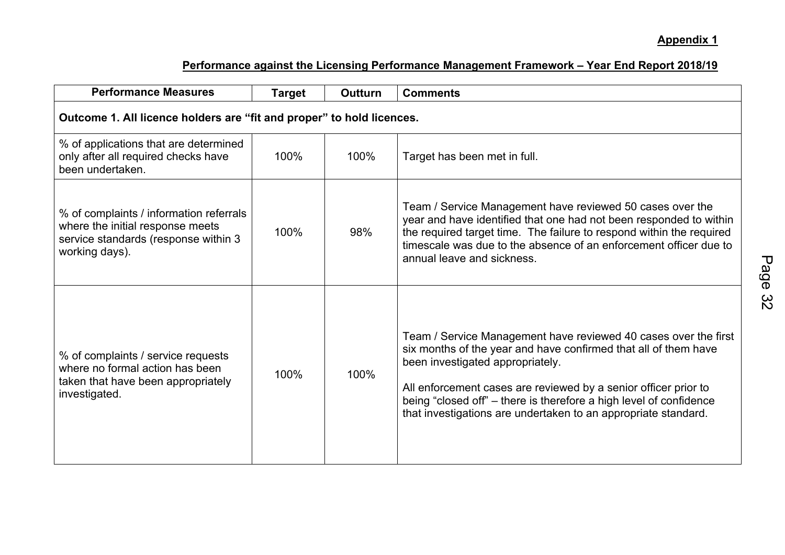### **Appendix 1**

| <b>Performance Measures</b>                                                                                                           | <b>Target</b> | <b>Outturn</b> | <b>Comments</b>                                                                                                                                                                                                                                                                                                                                                                   |  |  |  |  |  |  |
|---------------------------------------------------------------------------------------------------------------------------------------|---------------|----------------|-----------------------------------------------------------------------------------------------------------------------------------------------------------------------------------------------------------------------------------------------------------------------------------------------------------------------------------------------------------------------------------|--|--|--|--|--|--|
| Outcome 1. All licence holders are "fit and proper" to hold licences.                                                                 |               |                |                                                                                                                                                                                                                                                                                                                                                                                   |  |  |  |  |  |  |
| % of applications that are determined<br>only after all required checks have<br>been undertaken.                                      | 100%          | 100%           | Target has been met in full.                                                                                                                                                                                                                                                                                                                                                      |  |  |  |  |  |  |
| % of complaints / information referrals<br>where the initial response meets<br>service standards (response within 3<br>working days). | 100%          | 98%            | Team / Service Management have reviewed 50 cases over the<br>year and have identified that one had not been responded to within<br>the required target time. The failure to respond within the required<br>timescale was due to the absence of an enforcement officer due to<br>annual leave and sickness.                                                                        |  |  |  |  |  |  |
| % of complaints / service requests<br>where no formal action has been<br>taken that have been appropriately<br>investigated.          | 100%          | 100%           | Team / Service Management have reviewed 40 cases over the first<br>six months of the year and have confirmed that all of them have<br>been investigated appropriately.<br>All enforcement cases are reviewed by a senior officer prior to<br>being "closed off" - there is therefore a high level of confidence<br>that investigations are undertaken to an appropriate standard. |  |  |  |  |  |  |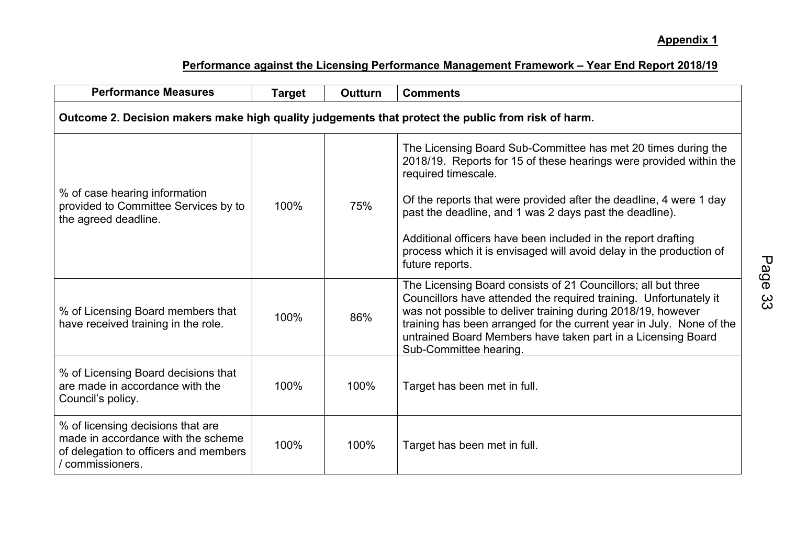| <b>Performance Measures</b>                                                                                                          | <b>Target</b> | <b>Outturn</b> | <b>Comments</b>                                                                                                                                                                                                                                                                                                                                                                                                                                        |  |  |  |  |  |  |
|--------------------------------------------------------------------------------------------------------------------------------------|---------------|----------------|--------------------------------------------------------------------------------------------------------------------------------------------------------------------------------------------------------------------------------------------------------------------------------------------------------------------------------------------------------------------------------------------------------------------------------------------------------|--|--|--|--|--|--|
| Outcome 2. Decision makers make high quality judgements that protect the public from risk of harm.                                   |               |                |                                                                                                                                                                                                                                                                                                                                                                                                                                                        |  |  |  |  |  |  |
| % of case hearing information<br>provided to Committee Services by to<br>the agreed deadline.                                        | 100%          | 75%            | The Licensing Board Sub-Committee has met 20 times during the<br>2018/19. Reports for 15 of these hearings were provided within the<br>required timescale.<br>Of the reports that were provided after the deadline, 4 were 1 day<br>past the deadline, and 1 was 2 days past the deadline).<br>Additional officers have been included in the report drafting<br>process which it is envisaged will avoid delay in the production of<br>future reports. |  |  |  |  |  |  |
| % of Licensing Board members that<br>have received training in the role.                                                             | 100%          | 86%            | The Licensing Board consists of 21 Councillors; all but three<br>Councillors have attended the required training. Unfortunately it<br>was not possible to deliver training during 2018/19, however<br>training has been arranged for the current year in July. None of the<br>untrained Board Members have taken part in a Licensing Board<br>Sub-Committee hearing.                                                                                   |  |  |  |  |  |  |
| % of Licensing Board decisions that<br>are made in accordance with the<br>Council's policy.                                          | 100%          | 100%           | Target has been met in full.                                                                                                                                                                                                                                                                                                                                                                                                                           |  |  |  |  |  |  |
| % of licensing decisions that are<br>made in accordance with the scheme<br>of delegation to officers and members<br>/ commissioners. | 100%          | 100%           | Target has been met in full.                                                                                                                                                                                                                                                                                                                                                                                                                           |  |  |  |  |  |  |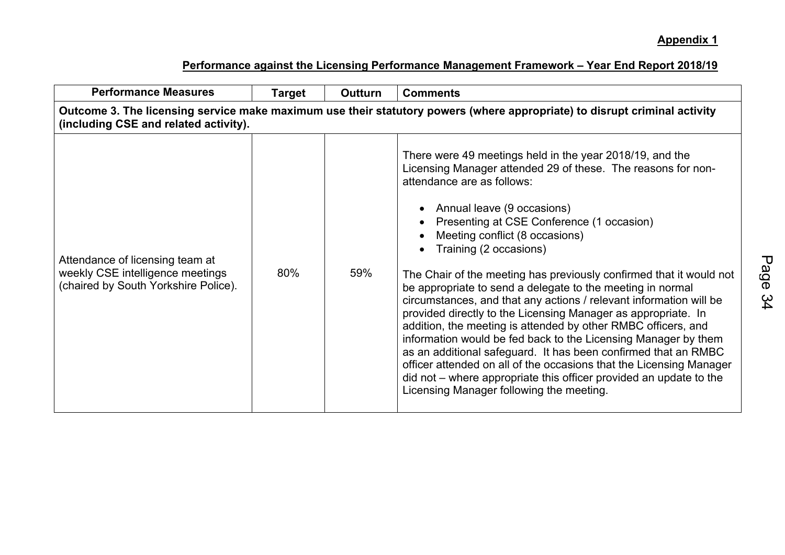| <b>Performance Measures</b>                                                                                                                                        | Target | <b>Outturn</b> | <b>Comments</b>                                                                                                                                                                                                                                                                                                                                                                                                                                                                                                                                                                                                                                                                                                                                                                                                                                                                                                                                                           |  |  |  |  |  |  |
|--------------------------------------------------------------------------------------------------------------------------------------------------------------------|--------|----------------|---------------------------------------------------------------------------------------------------------------------------------------------------------------------------------------------------------------------------------------------------------------------------------------------------------------------------------------------------------------------------------------------------------------------------------------------------------------------------------------------------------------------------------------------------------------------------------------------------------------------------------------------------------------------------------------------------------------------------------------------------------------------------------------------------------------------------------------------------------------------------------------------------------------------------------------------------------------------------|--|--|--|--|--|--|
| Outcome 3. The licensing service make maximum use their statutory powers (where appropriate) to disrupt criminal activity<br>(including CSE and related activity). |        |                |                                                                                                                                                                                                                                                                                                                                                                                                                                                                                                                                                                                                                                                                                                                                                                                                                                                                                                                                                                           |  |  |  |  |  |  |
| Attendance of licensing team at<br>weekly CSE intelligence meetings<br>(chaired by South Yorkshire Police).                                                        | 80%    | 59%            | There were 49 meetings held in the year 2018/19, and the<br>Licensing Manager attended 29 of these. The reasons for non-<br>attendance are as follows:<br>• Annual leave (9 occasions)<br>Presenting at CSE Conference (1 occasion)<br>Meeting conflict (8 occasions)<br>Training (2 occasions)<br>The Chair of the meeting has previously confirmed that it would not<br>be appropriate to send a delegate to the meeting in normal<br>circumstances, and that any actions / relevant information will be<br>provided directly to the Licensing Manager as appropriate. In<br>addition, the meeting is attended by other RMBC officers, and<br>information would be fed back to the Licensing Manager by them<br>as an additional safeguard. It has been confirmed that an RMBC<br>officer attended on all of the occasions that the Licensing Manager<br>did not – where appropriate this officer provided an update to the<br>Licensing Manager following the meeting. |  |  |  |  |  |  |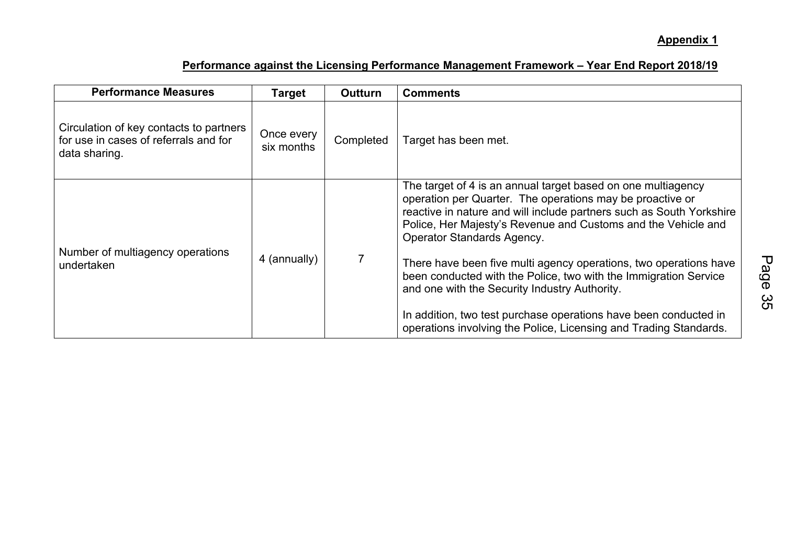| <b>Performance Measures</b>                                                                       | Target                   | <b>Outturn</b> | <b>Comments</b>                                                                                                                                                                                                                                                                                                                                                                                                                                                                            |
|---------------------------------------------------------------------------------------------------|--------------------------|----------------|--------------------------------------------------------------------------------------------------------------------------------------------------------------------------------------------------------------------------------------------------------------------------------------------------------------------------------------------------------------------------------------------------------------------------------------------------------------------------------------------|
| Circulation of key contacts to partners<br>for use in cases of referrals and for<br>data sharing. | Once every<br>six months | Completed      | Target has been met.                                                                                                                                                                                                                                                                                                                                                                                                                                                                       |
| Number of multiagency operations<br>undertaken                                                    | 4 (annually)             |                | The target of 4 is an annual target based on one multiagency<br>operation per Quarter. The operations may be proactive or<br>reactive in nature and will include partners such as South Yorkshire<br>Police, Her Majesty's Revenue and Customs and the Vehicle and<br>Operator Standards Agency.<br>There have been five multi agency operations, two operations have<br>been conducted with the Police, two with the Immigration Service<br>and one with the Security Industry Authority. |
|                                                                                                   |                          |                | In addition, two test purchase operations have been conducted in<br>operations involving the Police, Licensing and Trading Standards.                                                                                                                                                                                                                                                                                                                                                      |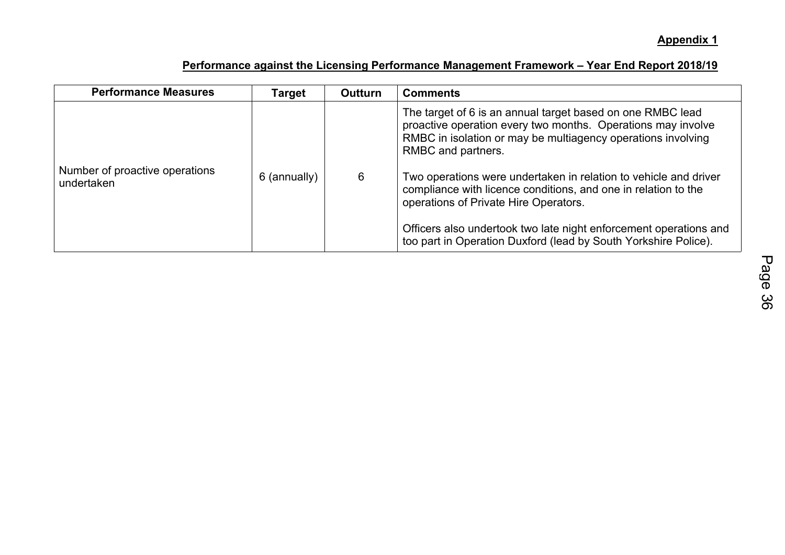| <b>Performance Measures</b>                  | Target       | <b>Outturn</b> | <b>Comments</b>                                                                                                                                                                                                                                                                                                                                                                                                                                                                                                                         |
|----------------------------------------------|--------------|----------------|-----------------------------------------------------------------------------------------------------------------------------------------------------------------------------------------------------------------------------------------------------------------------------------------------------------------------------------------------------------------------------------------------------------------------------------------------------------------------------------------------------------------------------------------|
| Number of proactive operations<br>undertaken | 6 (annually) | 6              | The target of 6 is an annual target based on one RMBC lead<br>proactive operation every two months. Operations may involve<br>RMBC in isolation or may be multiagency operations involving<br>RMBC and partners.<br>Two operations were undertaken in relation to vehicle and driver<br>compliance with licence conditions, and one in relation to the<br>operations of Private Hire Operators.<br>Officers also undertook two late night enforcement operations and<br>too part in Operation Duxford (lead by South Yorkshire Police). |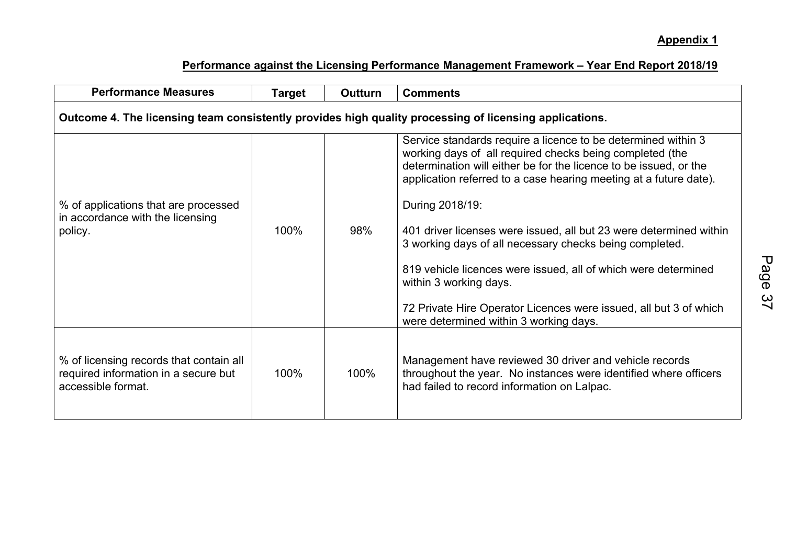| <b>Performance Measures</b>                                                                            | <b>Target</b> | <b>Outturn</b> | <b>Comments</b>                                                                                                                                                                                                                                                                                                                                                                                                                                                                                                                                                                                                                    |  |  |  |  |  |  |
|--------------------------------------------------------------------------------------------------------|---------------|----------------|------------------------------------------------------------------------------------------------------------------------------------------------------------------------------------------------------------------------------------------------------------------------------------------------------------------------------------------------------------------------------------------------------------------------------------------------------------------------------------------------------------------------------------------------------------------------------------------------------------------------------------|--|--|--|--|--|--|
| Outcome 4. The licensing team consistently provides high quality processing of licensing applications. |               |                |                                                                                                                                                                                                                                                                                                                                                                                                                                                                                                                                                                                                                                    |  |  |  |  |  |  |
| % of applications that are processed<br>in accordance with the licensing<br>policy.                    | 98%<br>100%   |                | Service standards require a licence to be determined within 3<br>working days of all required checks being completed (the<br>determination will either be for the licence to be issued, or the<br>application referred to a case hearing meeting at a future date).<br>During 2018/19:<br>401 driver licenses were issued, all but 23 were determined within<br>3 working days of all necessary checks being completed.<br>819 vehicle licences were issued, all of which were determined<br>within 3 working days.<br>72 Private Hire Operator Licences were issued, all but 3 of which<br>were determined within 3 working days. |  |  |  |  |  |  |
| % of licensing records that contain all<br>required information in a secure but<br>accessible format.  | 100%          | 100%           | Management have reviewed 30 driver and vehicle records<br>throughout the year. No instances were identified where officers<br>had failed to record information on Lalpac.                                                                                                                                                                                                                                                                                                                                                                                                                                                          |  |  |  |  |  |  |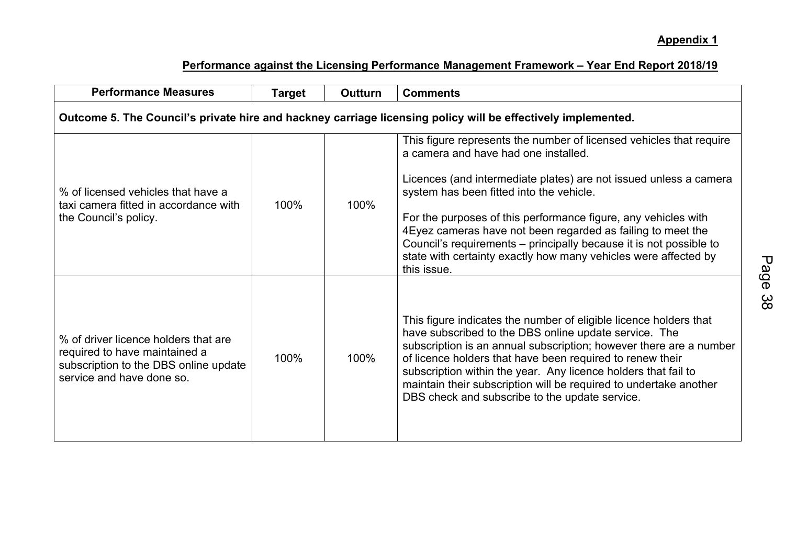| <b>Performance Measures</b>                                                                                                                 | <b>Target</b> | <b>Outturn</b> | <b>Comments</b>                                                                                                                                                                                                                                                                                                                                                                                                                                                                                                        |  |  |  |  |  |  |
|---------------------------------------------------------------------------------------------------------------------------------------------|---------------|----------------|------------------------------------------------------------------------------------------------------------------------------------------------------------------------------------------------------------------------------------------------------------------------------------------------------------------------------------------------------------------------------------------------------------------------------------------------------------------------------------------------------------------------|--|--|--|--|--|--|
| Outcome 5. The Council's private hire and hackney carriage licensing policy will be effectively implemented.                                |               |                |                                                                                                                                                                                                                                                                                                                                                                                                                                                                                                                        |  |  |  |  |  |  |
| % of licensed vehicles that have a<br>taxi camera fitted in accordance with<br>the Council's policy.                                        | 100%          | 100%           | This figure represents the number of licensed vehicles that require<br>a camera and have had one installed.<br>Licences (and intermediate plates) are not issued unless a camera<br>system has been fitted into the vehicle.<br>For the purposes of this performance figure, any vehicles with<br>4 Eyez cameras have not been regarded as failing to meet the<br>Council's requirements – principally because it is not possible to<br>state with certainty exactly how many vehicles were affected by<br>this issue. |  |  |  |  |  |  |
| % of driver licence holders that are<br>required to have maintained a<br>subscription to the DBS online update<br>service and have done so. | 100%          | 100%           | This figure indicates the number of eligible licence holders that<br>have subscribed to the DBS online update service. The<br>subscription is an annual subscription; however there are a number<br>of licence holders that have been required to renew their<br>subscription within the year. Any licence holders that fail to<br>maintain their subscription will be required to undertake another<br>DBS check and subscribe to the update service.                                                                 |  |  |  |  |  |  |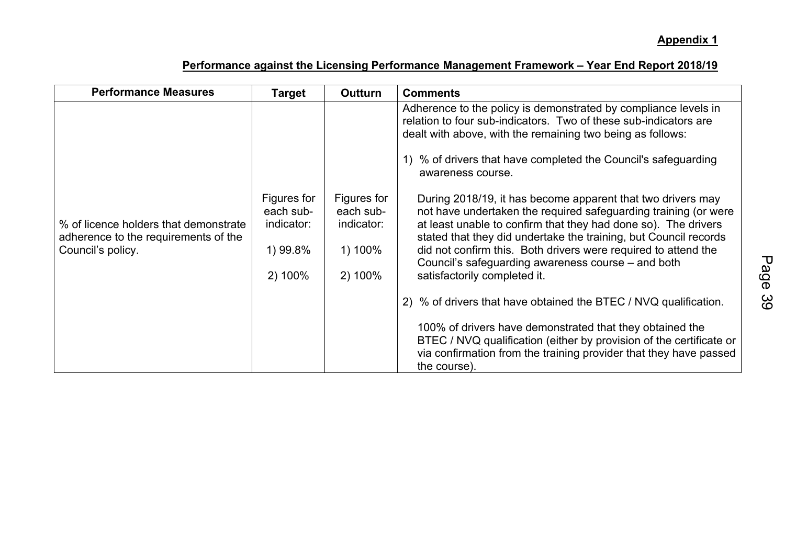| <b>Performance Measures</b>                                                                        | <b>Target</b>                                                 | <b>Outturn</b>                                               | <b>Comments</b>                                                                                                                                                                                                                                                                                                                                                                                                              |
|----------------------------------------------------------------------------------------------------|---------------------------------------------------------------|--------------------------------------------------------------|------------------------------------------------------------------------------------------------------------------------------------------------------------------------------------------------------------------------------------------------------------------------------------------------------------------------------------------------------------------------------------------------------------------------------|
|                                                                                                    |                                                               |                                                              | Adherence to the policy is demonstrated by compliance levels in<br>relation to four sub-indicators. Two of these sub-indicators are<br>dealt with above, with the remaining two being as follows:<br>1) % of drivers that have completed the Council's safeguarding<br>awareness course.                                                                                                                                     |
| % of licence holders that demonstrate<br>adherence to the requirements of the<br>Council's policy. | Figures for<br>each sub-<br>indicator:<br>1) 99.8%<br>2) 100% | Figures for<br>each sub-<br>indicator:<br>1) 100%<br>2) 100% | During 2018/19, it has become apparent that two drivers may<br>not have undertaken the required safeguarding training (or were<br>at least unable to confirm that they had done so). The drivers<br>stated that they did undertake the training, but Council records<br>did not confirm this. Both drivers were required to attend the<br>Council's safeguarding awareness course – and both<br>satisfactorily completed it. |
|                                                                                                    |                                                               |                                                              | 2) % of drivers that have obtained the BTEC / NVQ qualification.                                                                                                                                                                                                                                                                                                                                                             |
|                                                                                                    |                                                               |                                                              | 100% of drivers have demonstrated that they obtained the<br>BTEC / NVQ qualification (either by provision of the certificate or<br>via confirmation from the training provider that they have passed<br>the course).                                                                                                                                                                                                         |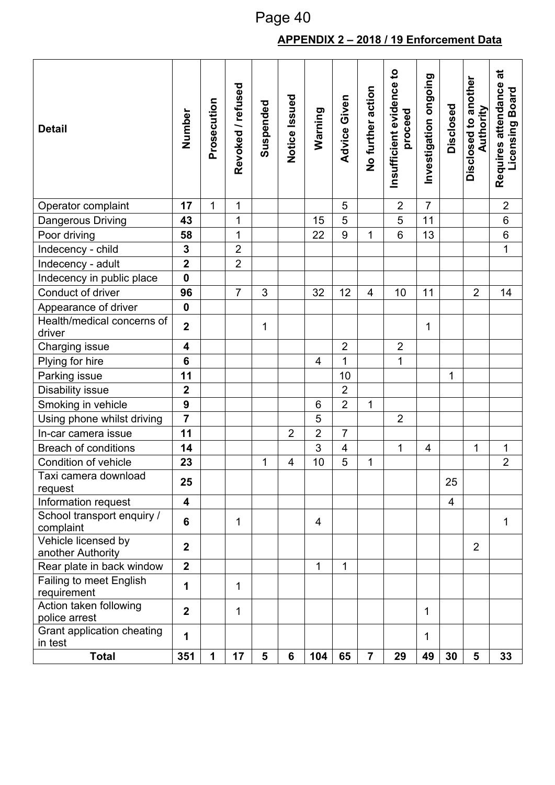# **APPENDIX 2 – 2018 / 19 Enforcement Data**

| <b>Detail</b>                            | Number                  | Prosecution | Revoked / refused | Suspended | Notice Issued  | Warning        | Advice Given   | No further action | Insufficient evidence to<br>proceed | Investigation ongoing    | Disclosed      | Disclosed to another<br>Authority | ಕ<br>Requires attendance<br>Licensing Board |
|------------------------------------------|-------------------------|-------------|-------------------|-----------|----------------|----------------|----------------|-------------------|-------------------------------------|--------------------------|----------------|-----------------------------------|---------------------------------------------|
| Operator complaint                       | 17                      | $\mathbf 1$ | 1                 |           |                |                | 5              |                   | $\overline{2}$                      | $\overline{7}$           |                |                                   | $\overline{2}$                              |
| Dangerous Driving                        | 43                      |             | 1                 |           |                | 15             | 5              |                   | 5                                   | 11                       |                |                                   | $\,6$                                       |
| Poor driving                             | 58                      |             | $\mathbf 1$       |           |                | 22             | 9              | $\mathbf{1}$      | $6\phantom{1}$                      | 13                       |                |                                   | $\,6\,$                                     |
| Indecency - child                        | $\mathbf 3$             |             | $\overline{2}$    |           |                |                |                |                   |                                     |                          |                |                                   | $\overline{1}$                              |
| Indecency - adult                        | $\overline{\mathbf{2}}$ |             | $\overline{2}$    |           |                |                |                |                   |                                     |                          |                |                                   |                                             |
| Indecency in public place                | $\mathbf 0$             |             |                   |           |                |                |                |                   |                                     |                          |                |                                   |                                             |
| Conduct of driver                        | 96                      |             | $\overline{7}$    | 3         |                | 32             | 12             | 4                 | 10                                  | 11                       |                | $\overline{2}$                    | 14                                          |
| Appearance of driver                     | $\mathbf 0$             |             |                   |           |                |                |                |                   |                                     |                          |                |                                   |                                             |
| Health/medical concerns of<br>driver     | $\overline{2}$          |             |                   | 1         |                |                |                |                   |                                     | 1                        |                |                                   |                                             |
| Charging issue                           | $\overline{\mathbf{4}}$ |             |                   |           |                |                | $\overline{2}$ |                   | $\overline{2}$                      |                          |                |                                   |                                             |
| Plying for hire                          | 6                       |             |                   |           |                | $\overline{4}$ | 1              |                   | 1                                   |                          |                |                                   |                                             |
| Parking issue                            | 11                      |             |                   |           |                |                | 10             |                   |                                     |                          | 1              |                                   |                                             |
| Disability issue                         | $\mathbf 2$             |             |                   |           |                |                | $\overline{2}$ |                   |                                     |                          |                |                                   |                                             |
| Smoking in vehicle                       | $\mathbf{9}$            |             |                   |           |                | 6              | $\overline{2}$ | 1                 |                                     |                          |                |                                   |                                             |
| Using phone whilst driving               | $\overline{7}$          |             |                   |           |                | 5              |                |                   | $\overline{2}$                      |                          |                |                                   |                                             |
| In-car camera issue                      | 11                      |             |                   |           | $\overline{2}$ | $\overline{2}$ | $\overline{7}$ |                   |                                     |                          |                |                                   |                                             |
| <b>Breach of conditions</b>              | 14                      |             |                   |           |                | 3              | 4              |                   | 1                                   | $\overline{\mathcal{A}}$ |                | 1                                 | 1                                           |
| Condition of vehicle                     | 23                      |             |                   | 1         | 4              | 10             | 5              | 1                 |                                     |                          |                |                                   | $\overline{2}$                              |
| Taxi camera download<br>request          | 25                      |             |                   |           |                |                |                |                   |                                     |                          | 25             |                                   |                                             |
| Information request                      | $\overline{\mathbf{4}}$ |             |                   |           |                |                |                |                   |                                     |                          | $\overline{4}$ |                                   |                                             |
| School transport enquiry /<br>complaint  | 6                       |             | 1                 |           |                | 4              |                |                   |                                     |                          |                |                                   | 1                                           |
| Vehicle licensed by<br>another Authority | 2 <sup>1</sup>          |             |                   |           |                |                |                |                   |                                     |                          |                | $\overline{2}$                    |                                             |
| Rear plate in back window                | $\overline{2}$          |             |                   |           |                | 1              | 1              |                   |                                     |                          |                |                                   |                                             |
| Failing to meet English<br>requirement   | 1                       |             | 1                 |           |                |                |                |                   |                                     |                          |                |                                   |                                             |
| Action taken following<br>police arrest  | $\overline{2}$          |             | 1                 |           |                |                |                |                   |                                     | 1                        |                |                                   |                                             |
| Grant application cheating<br>in test    | 1                       |             |                   |           |                |                |                |                   |                                     | 1                        |                |                                   |                                             |
| <b>Total</b>                             | 351                     | 1           | 17                | 5         | 6              | 104            | 65             | $\overline{7}$    | 29                                  | 49                       | 30             | 5                                 | 33                                          |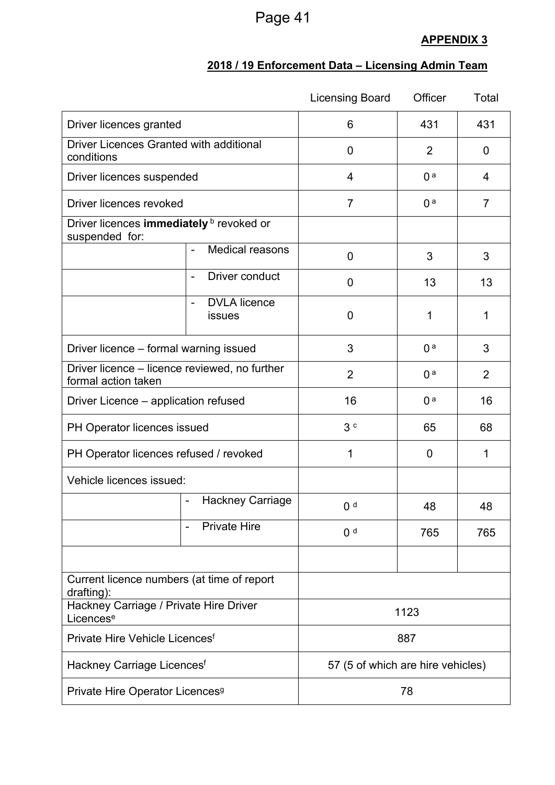# **APPENDIX 3**

### **2018 / 19 Enforcement Data – Licensing Admin Team**

|                                                                      |                                                           | <b>Licensing Board</b> | Officer        | Total |  |  |
|----------------------------------------------------------------------|-----------------------------------------------------------|------------------------|----------------|-------|--|--|
| Driver licences granted                                              |                                                           | 6                      | 431            | 431   |  |  |
| <b>Driver Licences Granted with additional</b><br>conditions         | 0                                                         | $\overline{2}$         |                |       |  |  |
| Driver licences suspended                                            |                                                           | 4                      | 0 <sup>a</sup> | 4     |  |  |
| Driver licences revoked                                              |                                                           | $\overline{7}$         | 0 <sup>a</sup> |       |  |  |
| Driver licences immediately <b>b</b> revoked or<br>suspended for:    |                                                           |                        |                |       |  |  |
|                                                                      | Medical reasons                                           | 0                      | 3              | 3     |  |  |
|                                                                      | Driver conduct<br>$\overline{\phantom{0}}$                | 0                      | 13             | 13    |  |  |
|                                                                      | <b>DVLA</b> licence<br>$\overline{\phantom{a}}$<br>issues | 0                      | 1              | 1     |  |  |
| Driver licence – formal warning issued                               |                                                           | 3                      | 0 <sup>a</sup> | 3     |  |  |
| Driver licence – licence reviewed, no further<br>formal action taken |                                                           | $\overline{2}$         | $\overline{2}$ |       |  |  |
| Driver Licence – application refused                                 |                                                           | 16                     | 16             |       |  |  |
| PH Operator licences issued                                          |                                                           | 3c                     | 65             | 68    |  |  |
| PH Operator licences refused / revoked                               |                                                           | 1                      | 0              | 1     |  |  |
| Vehicle licences issued:                                             |                                                           |                        |                |       |  |  |
|                                                                      | <b>Hackney Carriage</b><br>$\blacksquare$                 | 0 <sup>d</sup>         | 48             | 48    |  |  |
|                                                                      | <b>Private Hire</b>                                       | 0 <sup>d</sup>         | 765            | 765   |  |  |
|                                                                      |                                                           |                        |                |       |  |  |
| Current licence numbers (at time of report<br>drafting):             |                                                           |                        |                |       |  |  |
| Hackney Carriage / Private Hire Driver<br>Licences <sup>e</sup>      |                                                           | 1123                   |                |       |  |  |
| Private Hire Vehicle Licences <sup>f</sup>                           | 887                                                       |                        |                |       |  |  |
| Hackney Carriage Licences <sup>f</sup>                               | 57 (5 of which are hire vehicles)                         |                        |                |       |  |  |
| Private Hire Operator Licences <sup>9</sup>                          |                                                           | 78                     |                |       |  |  |